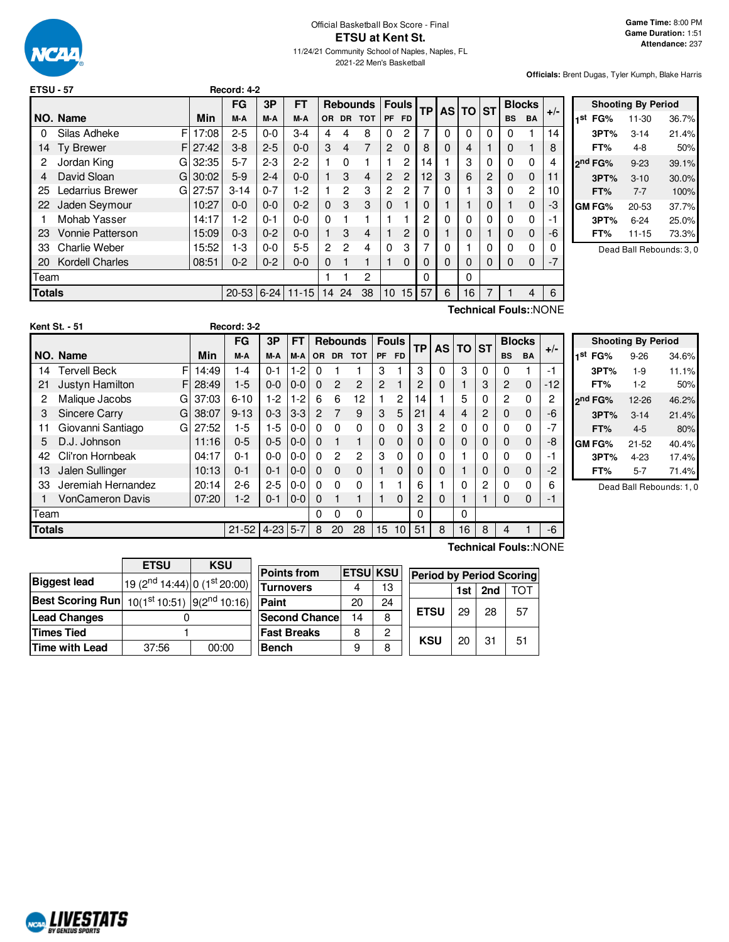

#### Official Basketball Box Score - Final **ETSU at Kent St.** 11/24/21 Community School of Naples, Naples, FL 2021-22 Men's Basketball

**Officials:** Brent Dugas, Tyler Kumph, Blake Harris

| <b>ETSU - 57</b> |                         |       | Record: 4-2 |         |           |                |                |                 |                |                |           |           |           |           |           |                |       |
|------------------|-------------------------|-------|-------------|---------|-----------|----------------|----------------|-----------------|----------------|----------------|-----------|-----------|-----------|-----------|-----------|----------------|-------|
|                  |                         |       | <b>FG</b>   | 3P      | FT        |                |                | <b>Rebounds</b> |                | <b>Fouls</b>   | <b>TP</b> | <b>AS</b> | <b>TO</b> | <b>ST</b> |           | <b>Blocks</b>  | $+/-$ |
|                  | NO. Name                | Min   | M-A         | M-A     | M-A       | <b>OR</b>      |                | DR TOT          |                | PF FD          |           |           |           |           | <b>BS</b> | <b>BA</b>      |       |
| 0                | F<br>Silas Adheke       | 17:08 | $2 - 5$     | $0 - 0$ | $3-4$     | 4              | 4              | 8               | $\Omega$       | 2              | 7         | 0         | $\Omega$  | 0         | $\Omega$  |                | 14    |
| 14               | <b>Ty Brewer</b><br>F   | 27:42 | $3 - 8$     | $2 - 5$ | $0 - 0$   | 3              | $\overline{4}$ | 7               | $\overline{2}$ | $\Omega$       | 8         | $\Omega$  | 4         |           | $\Omega$  |                | 8     |
| 2                | Jordan King<br>G        | 32:35 | $5 - 7$     | $2 - 3$ | $2 - 2$   |                | 0              |                 |                | $\overline{2}$ | 14        |           | 3         | 0         | $\Omega$  | $\Omega$       | 4     |
| 4                | David Sloan<br>G        | 30:02 | $5-9$       | $2 - 4$ | $0 - 0$   |                | 3              | 4               | 2              | $\overline{2}$ | 12        | 3         | 6         | 2         | 0         | $\mathbf 0$    | 11    |
| 25               | Ledarrius Brewer<br>G   | 27:57 | $3 - 14$    | $0 - 7$ | $1-2$     |                | 2              | 3               | 2              | $\overline{2}$ |           | 0         |           | 3         | $\Omega$  | $\overline{c}$ | 10    |
| 22               | Jaden Seymour           | 10:27 | $0 - 0$     | $0 - 0$ | $0 - 2$   | $\Omega$       | 3              | 3               | $\Omega$       |                | $\Omega$  |           | 1         | 0         |           | $\mathbf 0$    | -3    |
|                  | Mohab Yasser            | 14:17 | $1-2$       | $0 - 1$ | $0 - 0$   | 0              |                |                 |                |                | 2         | 0         | 0         | 0         | $\Omega$  | 0              | -1    |
| 23               | <b>Vonnie Patterson</b> | 15:09 | $0 - 3$     | $0 - 2$ | $0 - 0$   |                | 3              | 4               |                | $\overline{2}$ | $\Omega$  |           | 0         |           | $\Omega$  | $\mathbf 0$    | -6    |
| 33               | <b>Charlie Weber</b>    | 15:52 | $1-3$       | $0-0$   | $5-5$     | $\overline{2}$ | $\overline{2}$ | 4               | $\Omega$       | 3              |           | 0         |           | 0         | $\Omega$  | $\Omega$       | 0     |
| 20               | <b>Kordell Charles</b>  | 08:51 | $0 - 2$     | $0 - 2$ | $0 - 0$   | 0              |                |                 |                | $\Omega$       | 0         | 0         | 0         | 0         | 0         | 0              | $-7$  |
| Team             |                         |       |             |         |           |                |                | 2               |                |                | 0         |           | $\Omega$  |           |           |                |       |
| Totals           |                         |       | 20-53 6-24  |         | $11 - 15$ | 14             | 24             | 38              | 10             | 15             | 57        | 6         | 16        |           |           | 4              | 6     |
|                  |                         |       |             |         |           |                |                |                 |                |                |           |           |           |           |           |                |       |

|     | <b>Shooting By Period</b> |           |       |  |  |  |  |  |  |  |  |
|-----|---------------------------|-----------|-------|--|--|--|--|--|--|--|--|
| 1St | FG%                       | 11-30     | 36.7% |  |  |  |  |  |  |  |  |
|     | 3PT%                      | $3 - 14$  | 21.4% |  |  |  |  |  |  |  |  |
|     | FT%                       | 4-8       | 50%   |  |  |  |  |  |  |  |  |
|     | ond FG%                   | $9 - 23$  | 39.1% |  |  |  |  |  |  |  |  |
|     | 3PT%                      | $3 - 10$  | 30.0% |  |  |  |  |  |  |  |  |
|     | FT%                       | $7 - 7$   | 100%  |  |  |  |  |  |  |  |  |
|     | GM FG%                    | $20 - 53$ | 37.7% |  |  |  |  |  |  |  |  |
|     | 3PT%                      | $6 - 24$  | 25.0% |  |  |  |  |  |  |  |  |
|     | FT%                       | 11-15     | 73.3% |  |  |  |  |  |  |  |  |

Dead Ball Rebounds: 3, 0

|      | <b>Kent St. - 51</b> |   |       | Record: 3-2 |            |           |                |                 |                |                |                |           |           |           |           |                |               |       |
|------|----------------------|---|-------|-------------|------------|-----------|----------------|-----------------|----------------|----------------|----------------|-----------|-----------|-----------|-----------|----------------|---------------|-------|
|      |                      |   |       | FG          | 3P         | <b>FT</b> |                | <b>Rebounds</b> |                |                | <b>Fouls</b>   | <b>TP</b> | <b>AS</b> | <b>TO</b> | <b>ST</b> |                | <b>Blocks</b> |       |
|      | NO. Name             |   | Min   | M-A         | M-A        | M-A       | OR.            | <b>DR</b>       | <b>TOT</b>     | <b>PF</b>      | <b>FD</b>      |           |           |           |           | <b>BS</b>      | <b>BA</b>     | $+/-$ |
| 14   | <b>Tervell Beck</b>  | F | 14:49 | 1-4         | $0 - 1$    | 1-2       | 0              |                 |                | 3              |                | 3         | 0         | 3         | $\Omega$  | $\Omega$       |               | $-1$  |
| 21   | Justyn Hamilton      | F | 28:49 | $1-5$       | $0 - 0$    | $0-0$     | $\Omega$       | $\overline{2}$  | $\overline{2}$ | $\overline{2}$ |                | 2         | 0         |           | 3         | 2              | $\mathbf 0$   | $-12$ |
| 2    | Malique Jacobs       | G | 37:03 | $6 - 10$    | $1-2$      | $1-2$     | 6              | 6               | 12             |                | $\overline{2}$ | 14        |           | 5         | $\Omega$  | $\overline{2}$ | $\Omega$      | 2     |
| 3    | <b>Sincere Carry</b> | G | 38:07 | $9 - 13$    | $0 - 3$    | $3-3$     | $\overline{2}$ | $\overline{7}$  | 9              | 3              | 5              | 21        | 4         | 4         | 2         | $\mathbf 0$    | $\Omega$      | $-6$  |
| 11   | Giovanni Santiago    | G | 27:52 | 1-5         | $1-5$      | $0 - 0$   | $\Omega$       | $\Omega$        | $\Omega$       | $\Omega$       | 0              | 3         | 2         | 0         | 0         | $\Omega$       | $\mathbf{0}$  | $-7$  |
| 5    | D.J. Johnson         |   | 11:16 | $0 - 5$     | $0 - 5$    | $0 - 0$   | $\Omega$       |                 | 1              | $\Omega$       | $\Omega$       | 0         | 0         | 0         | 0         | $\Omega$       | $\Omega$      | $-8$  |
| 42   | Cli'ron Hornbeak     |   | 04:17 | $0 - 1$     | $0-0$      | $0-0$     | $\Omega$       | $\overline{2}$  | $\overline{2}$ | 3              | 0              | 0         | ი         |           | 0         | $\Omega$       | 0             | $-1$  |
| 13   | Jalen Sullinger      |   | 10:13 | $0 - 1$     | $0 - 1$    | $0-0$     | $\Omega$       | $\Omega$        | $\Omega$       |                | $\Omega$       | 0         | 0         |           | 0         | $\Omega$       | $\Omega$      | $-2$  |
| 33   | Jeremiah Hernandez   |   | 20:14 | $2-6$       | $2 - 5$    | $0-0$     | $\Omega$       | $\Omega$        | $\Omega$       |                |                | 6         |           | 0         | 2         | 0              | $\Omega$      | 6     |
|      | VonCameron Davis     |   | 07:20 | $1-2$       | $0 - 1$    | $0-0$     | $\Omega$       |                 |                |                | $\Omega$       | 2         | 0         |           |           | $\Omega$       | $\Omega$      | -1    |
| Team |                      |   |       |             |            |           | 0              | 0               | 0              |                |                | 0         |           | 0         |           |                |               |       |
|      | <b>Totals</b>        |   |       |             | $4-23$ 5-7 |           | 8              | 20              | 28             | 15             | 10             | 51        | 8         | 16        | 8         | 4              |               | -6    |

**Technical Fouls:**:NONE

|     |                     | <b>Shooting By Period</b> |       |
|-----|---------------------|---------------------------|-------|
| 1st | FG%                 | $9 - 26$                  | 34.6% |
|     | 3PT%                | $1-9$                     | 11.1% |
|     | FT%                 | $1-2$                     | 50%   |
|     | 2 <sup>nd</sup> FG% | 12-26                     | 46.2% |
|     | 3PT%                | $3 - 14$                  | 21.4% |
|     | FT%                 | $4 - 5$                   | 80%   |
|     | GM FG%              | $21 - 52$                 | 40.4% |
|     | 3PT%                | $4 - 23$                  | 17.4% |
|     | FT%                 | $5 - 7$                   | 71.4% |

Dead Ball Rebounds: 1, 0

 $\frac{nd}{14:44}$  0 (1 $^{\rm s}$  $\frac{\text{st}}{20:00}$  $\frac{\text{st}}{\text{10:51}}$  9(2<sup>n</sup>  $<sup>nd</sup> 10:16$ </sup> **Times Tied** 1 **Time with Lead** 37:56 00:00 **Points from ETSU KSU Turnovers** | 4 | 13 **Paint** 20 24 **Second Chance** 14 8 **Fast Breaks** | 8 | 2 **Bench** 9 8 **Period by Period Scoring 1st 2nd** TOT **ETSU** 29 28 57 **KSU** | 20 | 31 | 51

| .                                                              |                                    |            | <u>_ . u_</u> | .                  |  |                 | $\overline{\phantom{a}}$<br>. |       |
|----------------------------------------------------------------|------------------------------------|------------|---------------|--------------------|--|-----------------|-------------------------------|-------|
|                                                                |                                    |            |               |                    |  |                 |                               |       |
|                                                                | <b>ETSU</b>                        | <b>KSU</b> |               | <b>Points from</b> |  | <b>ETSU</b> KSU |                               | $P_6$ |
| <b>Biggest lead</b>                                            | 19 ( $2nd$ 14:44) 0 ( $1st$ 20:00) |            |               | <b>Turnovers</b>   |  |                 | 13                            |       |
| <b>Best Scoring Run</b> 10(1st 10:51) 9(2 <sup>nd</sup> 10:16) |                                    |            |               | Paint              |  | 20              | 24                            |       |
| <b>Lead Changes</b>                                            |                                    |            |               | Second Chance      |  | 14              | 8                             | F     |
|                                                                |                                    |            |               |                    |  |                 |                               |       |

**Technical Fouls:**:NONE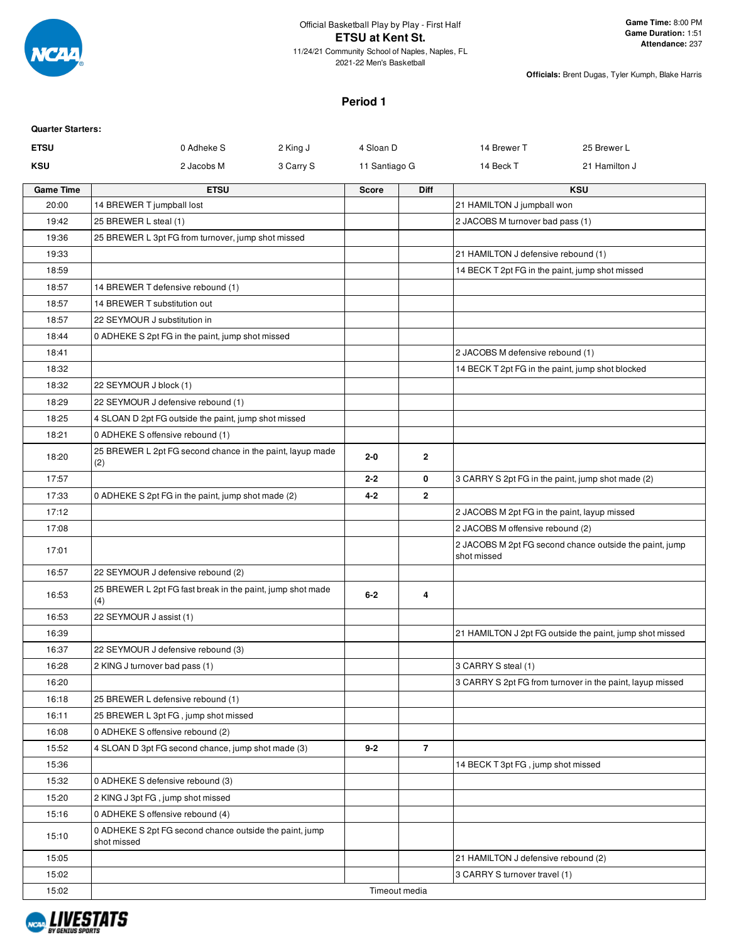

2021-22 Men's Basketball

**Officials:** Brent Dugas, Tyler Kumph, Blake Harris

### **Period 1**

| <b>Quarter Starters:</b> |                                                                        |                       |                |                                                  |                                                           |
|--------------------------|------------------------------------------------------------------------|-----------------------|----------------|--------------------------------------------------|-----------------------------------------------------------|
| <b>ETSU</b>              | 0 Adheke S                                                             | 2 King J<br>4 Sloan D |                | 14 Brewer T                                      | 25 Brewer L                                               |
| KSU                      | 2 Jacobs M                                                             | 3 Carry S             | 11 Santiago G  | 14 Beck T                                        | 21 Hamilton J                                             |
| <b>Game Time</b>         | <b>ETSU</b>                                                            | <b>Score</b>          | <b>Diff</b>    |                                                  | <b>KSU</b>                                                |
| 20:00                    | 14 BREWER T jumpball lost                                              |                       |                | 21 HAMILTON J jumpball won                       |                                                           |
| 19:42                    | 25 BREWER L steal (1)                                                  |                       |                | 2 JACOBS M turnover bad pass (1)                 |                                                           |
| 19:36                    | 25 BREWER L 3pt FG from turnover, jump shot missed                     |                       |                |                                                  |                                                           |
| 19:33                    |                                                                        |                       |                | 21 HAMILTON J defensive rebound (1)              |                                                           |
| 18:59                    |                                                                        |                       |                | 14 BECK T 2pt FG in the paint, jump shot missed  |                                                           |
| 18:57                    | 14 BREWER T defensive rebound (1)                                      |                       |                |                                                  |                                                           |
| 18:57                    | 14 BREWER T substitution out                                           |                       |                |                                                  |                                                           |
| 18:57                    | 22 SEYMOUR J substitution in                                           |                       |                |                                                  |                                                           |
| 18:44                    | 0 ADHEKE S 2pt FG in the paint, jump shot missed                       |                       |                |                                                  |                                                           |
| 18:41                    |                                                                        |                       |                | 2 JACOBS M defensive rebound (1)                 |                                                           |
| 18:32                    |                                                                        |                       |                | 14 BECK T 2pt FG in the paint, jump shot blocked |                                                           |
| 18:32                    | 22 SEYMOUR J block (1)                                                 |                       |                |                                                  |                                                           |
| 18:29                    | 22 SEYMOUR J defensive rebound (1)                                     |                       |                |                                                  |                                                           |
| 18:25                    | 4 SLOAN D 2pt FG outside the paint, jump shot missed                   |                       |                |                                                  |                                                           |
| 18:21                    | 0 ADHEKE S offensive rebound (1)                                       |                       |                |                                                  |                                                           |
| 18:20                    | 25 BREWER L 2pt FG second chance in the paint, layup made<br>(2)       | $2 - 0$               | $\mathbf{2}$   |                                                  |                                                           |
| 17:57                    |                                                                        | $2 - 2$               | 0              |                                                  | 3 CARRY S 2pt FG in the paint, jump shot made (2)         |
| 17:33                    | 0 ADHEKE S 2pt FG in the paint, jump shot made (2)                     | $4 - 2$               | $\mathbf{2}$   |                                                  |                                                           |
| 17:12                    |                                                                        |                       |                | 2 JACOBS M 2pt FG in the paint, layup missed     |                                                           |
| 17:08                    |                                                                        |                       |                | 2 JACOBS M offensive rebound (2)                 |                                                           |
| 17:01                    |                                                                        |                       |                | shot missed                                      | 2 JACOBS M 2pt FG second chance outside the paint, jump   |
| 16:57                    | 22 SEYMOUR J defensive rebound (2)                                     |                       |                |                                                  |                                                           |
| 16:53                    | 25 BREWER L 2pt FG fast break in the paint, jump shot made<br>(4)      | $6 - 2$               | 4              |                                                  |                                                           |
| 16:53                    | 22 SEYMOUR J assist (1)                                                |                       |                |                                                  |                                                           |
| 16:39                    |                                                                        |                       |                |                                                  | 21 HAMILTON J 2pt FG outside the paint, jump shot missed  |
| 16:37                    | 22 SEYMOUR J defensive rebound (3)                                     |                       |                |                                                  |                                                           |
| 16:28                    | 2 KING J turnover bad pass (1)                                         |                       |                | 3 CARRY S steal (1)                              |                                                           |
| 16:20                    |                                                                        |                       |                |                                                  | 3 CARRY S 2pt FG from turnover in the paint, layup missed |
| 16:18                    | 25 BREWER L defensive rebound (1)                                      |                       |                |                                                  |                                                           |
| 16:11                    | 25 BREWER L 3pt FG, jump shot missed                                   |                       |                |                                                  |                                                           |
| 16:08                    | 0 ADHEKE S offensive rebound (2)                                       |                       |                |                                                  |                                                           |
| 15:52                    | 4 SLOAN D 3pt FG second chance, jump shot made (3)                     | $9 - 2$               | $\overline{7}$ |                                                  |                                                           |
| 15:36                    |                                                                        |                       |                | 14 BECK T 3pt FG, jump shot missed               |                                                           |
| 15:32                    | 0 ADHEKE S defensive rebound (3)                                       |                       |                |                                                  |                                                           |
| 15:20                    | 2 KING J 3pt FG, jump shot missed                                      |                       |                |                                                  |                                                           |
| 15:16                    | 0 ADHEKE S offensive rebound (4)                                       |                       |                |                                                  |                                                           |
| 15:10                    | 0 ADHEKE S 2pt FG second chance outside the paint, jump<br>shot missed |                       |                |                                                  |                                                           |
| 15:05                    |                                                                        |                       |                | 21 HAMILTON J defensive rebound (2)              |                                                           |
| 15:02                    |                                                                        |                       |                | 3 CARRY S turnover travel (1)                    |                                                           |
| 15:02                    |                                                                        |                       | Timeout media  |                                                  |                                                           |

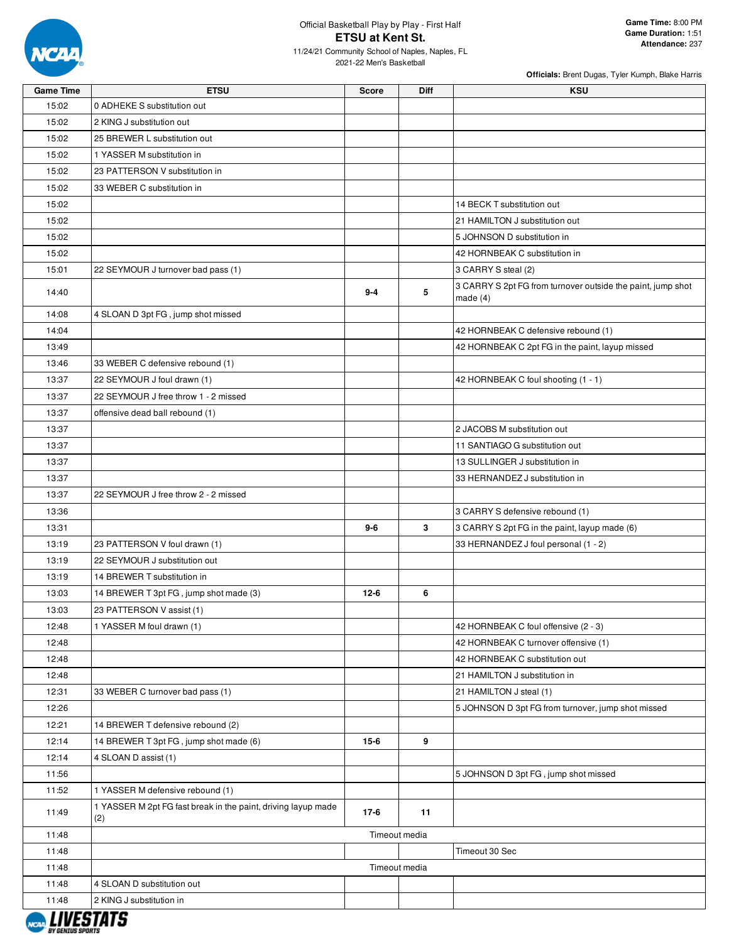

| <b>Game Time</b> | <b>ETSU</b>                                                          | <b>Score</b>  | <b>Diff</b> | <b>KSU</b>                                                                |
|------------------|----------------------------------------------------------------------|---------------|-------------|---------------------------------------------------------------------------|
| 15:02            | 0 ADHEKE S substitution out                                          |               |             |                                                                           |
| 15:02            | 2 KING J substitution out                                            |               |             |                                                                           |
| 15:02            | 25 BREWER L substitution out                                         |               |             |                                                                           |
| 15:02            | 1 YASSER M substitution in                                           |               |             |                                                                           |
| 15:02            | 23 PATTERSON V substitution in                                       |               |             |                                                                           |
| 15:02            | 33 WEBER C substitution in                                           |               |             |                                                                           |
| 15:02            |                                                                      |               |             | 14 BECK T substitution out                                                |
| 15:02            |                                                                      |               |             | 21 HAMILTON J substitution out                                            |
| 15:02            |                                                                      |               |             | 5 JOHNSON D substitution in                                               |
| 15:02            |                                                                      |               |             | 42 HORNBEAK C substitution in                                             |
| 15:01            | 22 SEYMOUR J turnover bad pass (1)                                   |               |             | 3 CARRY S steal (2)                                                       |
| 14:40            |                                                                      | $9 - 4$       | 5           | 3 CARRY S 2pt FG from turnover outside the paint, jump shot<br>made $(4)$ |
| 14:08            | 4 SLOAN D 3pt FG, jump shot missed                                   |               |             |                                                                           |
| 14:04            |                                                                      |               |             | 42 HORNBEAK C defensive rebound (1)                                       |
| 13:49            |                                                                      |               |             | 42 HORNBEAK C 2pt FG in the paint, layup missed                           |
| 13:46            | 33 WEBER C defensive rebound (1)                                     |               |             |                                                                           |
| 13:37            | 22 SEYMOUR J foul drawn (1)                                          |               |             | 42 HORNBEAK C foul shooting (1 - 1)                                       |
| 13:37            | 22 SEYMOUR J free throw 1 - 2 missed                                 |               |             |                                                                           |
| 13:37            | offensive dead ball rebound (1)                                      |               |             |                                                                           |
| 13:37            |                                                                      |               |             | 2 JACOBS M substitution out                                               |
| 13:37            |                                                                      |               |             | 11 SANTIAGO G substitution out                                            |
| 13:37            |                                                                      |               |             | 13 SULLINGER J substitution in                                            |
| 13:37            |                                                                      |               |             | 33 HERNANDEZ J substitution in                                            |
| 13:37            | 22 SEYMOUR J free throw 2 - 2 missed                                 |               |             |                                                                           |
| 13:36            |                                                                      |               |             | 3 CARRY S defensive rebound (1)                                           |
| 13:31            |                                                                      | $9-6$         | 3           | 3 CARRY S 2pt FG in the paint, layup made (6)                             |
| 13:19            | 23 PATTERSON V foul drawn (1)                                        |               |             | 33 HERNANDEZ J foul personal (1 - 2)                                      |
| 13:19            | 22 SEYMOUR J substitution out                                        |               |             |                                                                           |
| 13:19            | 14 BREWER T substitution in                                          |               |             |                                                                           |
| 13:03            | 14 BREWER T 3pt FG, jump shot made (3)                               | $12 - 6$      | 6           |                                                                           |
| 13:03            | 23 PATTERSON V assist (1)                                            |               |             |                                                                           |
| 12:48            | 1 YASSER M foul drawn (1)                                            |               |             | 42 HORNBEAK C foul offensive (2 - 3)                                      |
| 12:48            |                                                                      |               |             | 42 HORNBEAK C turnover offensive (1)                                      |
| 12:48            |                                                                      |               |             | 42 HORNBEAK C substitution out                                            |
| 12:48            |                                                                      |               |             | 21 HAMILTON J substitution in                                             |
| 12:31            | 33 WEBER C turnover bad pass (1)                                     |               |             | 21 HAMILTON J steal (1)                                                   |
| 12:26            |                                                                      |               |             | 5 JOHNSON D 3pt FG from turnover, jump shot missed                        |
| 12:21            | 14 BREWER T defensive rebound (2)                                    |               |             |                                                                           |
| 12:14            | 14 BREWER T 3pt FG, jump shot made (6)                               | $15-6$        | 9           |                                                                           |
| 12:14            | 4 SLOAN D assist (1)                                                 |               |             |                                                                           |
| 11:56            |                                                                      |               |             | 5 JOHNSON D 3pt FG, jump shot missed                                      |
| 11:52            | 1 YASSER M defensive rebound (1)                                     |               |             |                                                                           |
| 11:49            | 1 YASSER M 2pt FG fast break in the paint, driving layup made<br>(2) | $17-6$        | 11          |                                                                           |
| 11:48            |                                                                      | Timeout media |             |                                                                           |
| 11:48            |                                                                      |               |             | Timeout 30 Sec                                                            |
| 11:48            |                                                                      | Timeout media |             |                                                                           |
| 11:48            | 4 SLOAN D substitution out                                           |               |             |                                                                           |
| 11:48            | 2 KING J substitution in                                             |               |             |                                                                           |
|                  |                                                                      |               |             |                                                                           |

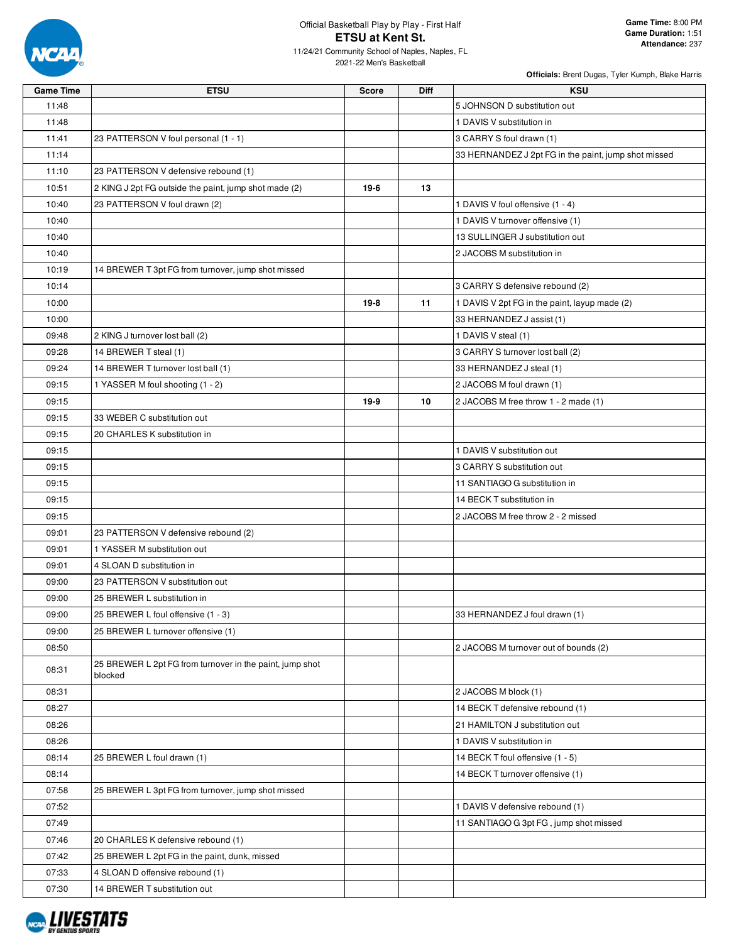

# Official Basketball Play by Play - First Half **ETSU at Kent St.**

11/24/21 Community School of Naples, Naples, FL 2021-22 Men's Basketball

| <b>Game Time</b> | <b>ETSU</b>                                              | <b>Score</b> | Diff | <b>KSU</b>                                           |
|------------------|----------------------------------------------------------|--------------|------|------------------------------------------------------|
| 11:48            |                                                          |              |      | 5 JOHNSON D substitution out                         |
| 11:48            |                                                          |              |      | 1 DAVIS V substitution in                            |
| 11:41            | 23 PATTERSON V foul personal (1 - 1)                     |              |      | 3 CARRY S foul drawn (1)                             |
| 11:14            |                                                          |              |      | 33 HERNANDEZ J 2pt FG in the paint, jump shot missed |
| 11:10            | 23 PATTERSON V defensive rebound (1)                     |              |      |                                                      |
| 10:51            | 2 KING J 2pt FG outside the paint, jump shot made (2)    | 19-6         | 13   |                                                      |
| 10:40            | 23 PATTERSON V foul drawn (2)                            |              |      | 1 DAVIS V foul offensive (1 - 4)                     |
| 10:40            |                                                          |              |      | 1 DAVIS V turnover offensive (1)                     |
| 10:40            |                                                          |              |      | 13 SULLINGER J substitution out                      |
| 10:40            |                                                          |              |      | 2 JACOBS M substitution in                           |
| 10:19            | 14 BREWER T 3pt FG from turnover, jump shot missed       |              |      |                                                      |
| 10:14            |                                                          |              |      | 3 CARRY S defensive rebound (2)                      |
| 10:00            |                                                          | $19-8$       | 11   | 1 DAVIS V 2pt FG in the paint, layup made (2)        |
| 10:00            |                                                          |              |      | 33 HERNANDEZ J assist (1)                            |
| 09:48            | 2 KING J turnover lost ball (2)                          |              |      | 1 DAVIS V steal (1)                                  |
| 09:28            | 14 BREWER T steal (1)                                    |              |      | 3 CARRY S turnover lost ball (2)                     |
| 09:24            | 14 BREWER T turnover lost ball (1)                       |              |      | 33 HERNANDEZ J steal (1)                             |
| 09:15            | 1 YASSER M foul shooting (1 - 2)                         |              |      | 2 JACOBS M foul drawn (1)                            |
| 09:15            |                                                          | 19-9         | 10   | 2 JACOBS M free throw 1 - 2 made (1)                 |
| 09:15            | 33 WEBER C substitution out                              |              |      |                                                      |
| 09:15            | 20 CHARLES K substitution in                             |              |      |                                                      |
| 09:15            |                                                          |              |      | 1 DAVIS V substitution out                           |
| 09:15            |                                                          |              |      | 3 CARRY S substitution out                           |
| 09:15            |                                                          |              |      | 11 SANTIAGO G substitution in                        |
| 09:15            |                                                          |              |      | 14 BECK T substitution in                            |
| 09:15            |                                                          |              |      | 2 JACOBS M free throw 2 - 2 missed                   |
| 09:01            | 23 PATTERSON V defensive rebound (2)                     |              |      |                                                      |
| 09:01            | 1 YASSER M substitution out                              |              |      |                                                      |
| 09:01            | 4 SLOAN D substitution in                                |              |      |                                                      |
| 09:00            | 23 PATTERSON V substitution out                          |              |      |                                                      |
| 09:00            | 25 BREWER L substitution in                              |              |      |                                                      |
| 09:00            | 25 BREWER L foul offensive (1 - 3)                       |              |      | 33 HERNANDEZ J foul drawn (1)                        |
| 09:00            | 25 BREWER L turnover offensive (1)                       |              |      |                                                      |
| 08:50            |                                                          |              |      | 2 JACOBS M turnover out of bounds (2)                |
|                  | 25 BREWER L 2pt FG from turnover in the paint, jump shot |              |      |                                                      |
| 08:31            | blocked                                                  |              |      |                                                      |
| 08:31            |                                                          |              |      | 2 JACOBS M block (1)                                 |
| 08:27            |                                                          |              |      | 14 BECK T defensive rebound (1)                      |
| 08:26            |                                                          |              |      | 21 HAMILTON J substitution out                       |
| 08:26            |                                                          |              |      | 1 DAVIS V substitution in                            |
| 08:14            | 25 BREWER L foul drawn (1)                               |              |      | 14 BECK T foul offensive (1 - 5)                     |
| 08:14            |                                                          |              |      | 14 BECK T turnover offensive (1)                     |
| 07:58            | 25 BREWER L 3pt FG from turnover, jump shot missed       |              |      |                                                      |
| 07:52            |                                                          |              |      | 1 DAVIS V defensive rebound (1)                      |
| 07:49            |                                                          |              |      | 11 SANTIAGO G 3pt FG, jump shot missed               |
| 07:46            | 20 CHARLES K defensive rebound (1)                       |              |      |                                                      |
| 07:42            | 25 BREWER L 2pt FG in the paint, dunk, missed            |              |      |                                                      |
| 07:33            | 4 SLOAN D offensive rebound (1)                          |              |      |                                                      |
| 07:30            | 14 BREWER T substitution out                             |              |      |                                                      |
|                  |                                                          |              |      |                                                      |

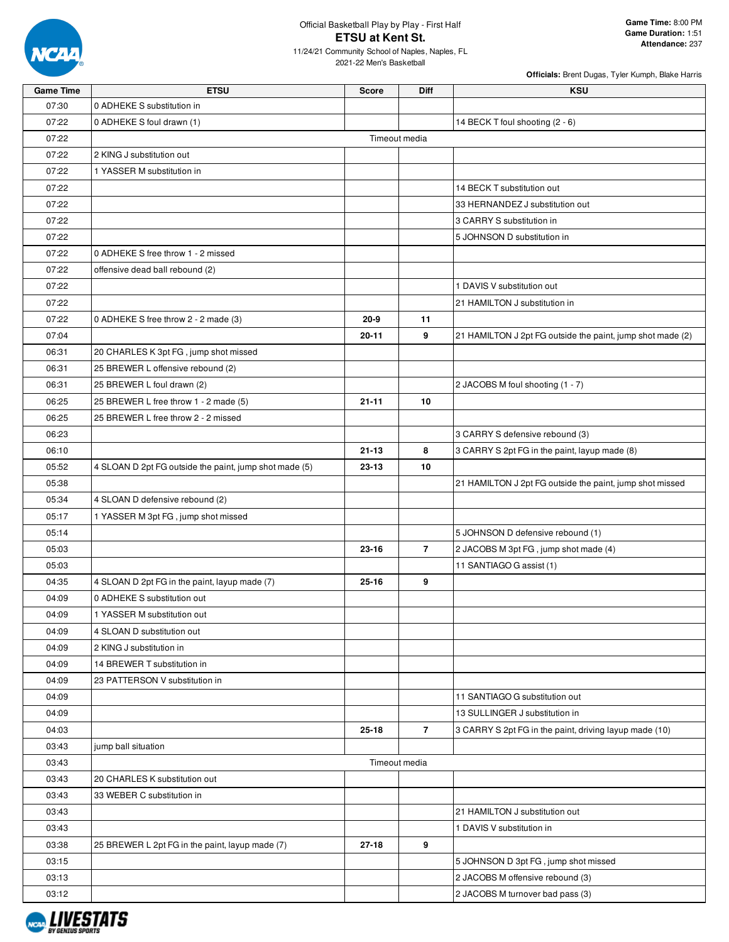

# Official Basketball Play by Play - First Half **ETSU at Kent St.**

11/24/21 Community School of Naples, Naples, FL 2021-22 Men's Basketball

| <b>Game Time</b> | <b>ETSU</b>                                            | <b>Score</b> | <b>Diff</b>    | <b>KSU</b>                                                 |
|------------------|--------------------------------------------------------|--------------|----------------|------------------------------------------------------------|
| 07:30            | 0 ADHEKE S substitution in                             |              |                |                                                            |
| 07:22            | 0 ADHEKE S foul drawn (1)                              |              |                | 14 BECK T foul shooting (2 - 6)                            |
| 07:22            |                                                        |              | Timeout media  |                                                            |
| 07:22            | 2 KING J substitution out                              |              |                |                                                            |
| 07:22            | 1 YASSER M substitution in                             |              |                |                                                            |
| 07:22            |                                                        |              |                | 14 BECK T substitution out                                 |
| 07:22            |                                                        |              |                | 33 HERNANDEZ J substitution out                            |
| 07:22            |                                                        |              |                | 3 CARRY S substitution in                                  |
| 07:22            |                                                        |              |                | 5 JOHNSON D substitution in                                |
| 07:22            | 0 ADHEKE S free throw 1 - 2 missed                     |              |                |                                                            |
| 07:22            | offensive dead ball rebound (2)                        |              |                |                                                            |
| 07:22            |                                                        |              |                | 1 DAVIS V substitution out                                 |
| 07:22            |                                                        |              |                | 21 HAMILTON J substitution in                              |
| 07:22            | 0 ADHEKE S free throw 2 - 2 made (3)                   | $20 - 9$     | 11             |                                                            |
| 07:04            |                                                        | $20 - 11$    | 9              | 21 HAMILTON J 2pt FG outside the paint, jump shot made (2) |
| 06:31            | 20 CHARLES K 3pt FG, jump shot missed                  |              |                |                                                            |
| 06:31            | 25 BREWER L offensive rebound (2)                      |              |                |                                                            |
| 06:31            | 25 BREWER L foul drawn (2)                             |              |                | 2 JACOBS M foul shooting (1 - 7)                           |
| 06:25            | 25 BREWER L free throw 1 - 2 made (5)                  | $21 - 11$    | 10             |                                                            |
| 06:25            | 25 BREWER L free throw 2 - 2 missed                    |              |                |                                                            |
| 06:23            |                                                        |              |                | 3 CARRY S defensive rebound (3)                            |
| 06:10            |                                                        | $21 - 13$    | 8              | 3 CARRY S 2pt FG in the paint, layup made (8)              |
| 05:52            | 4 SLOAN D 2pt FG outside the paint, jump shot made (5) | 23-13        | 10             |                                                            |
| 05:38            |                                                        |              |                | 21 HAMILTON J 2pt FG outside the paint, jump shot missed   |
| 05:34            | 4 SLOAN D defensive rebound (2)                        |              |                |                                                            |
| 05:17            | 1 YASSER M 3pt FG, jump shot missed                    |              |                |                                                            |
| 05:14            |                                                        |              |                | 5 JOHNSON D defensive rebound (1)                          |
| 05:03            |                                                        | 23-16        | $\overline{7}$ | 2 JACOBS M 3pt FG, jump shot made (4)                      |
| 05:03            |                                                        |              |                | 11 SANTIAGO G assist (1)                                   |
| 04:35            | 4 SLOAN D 2pt FG in the paint, layup made (7)          | $25 - 16$    | 9              |                                                            |
| 04:09            | 0 ADHEKE S substitution out                            |              |                |                                                            |
| 04:09            | 1 YASSER M substitution out                            |              |                |                                                            |
| 04:09            | 4 SLOAN D substitution out                             |              |                |                                                            |
| 04:09            | 2 KING J substitution in                               |              |                |                                                            |
| 04:09            | 14 BREWER T substitution in                            |              |                |                                                            |
| 04:09            | 23 PATTERSON V substitution in                         |              |                |                                                            |
| 04:09            |                                                        |              |                | 11 SANTIAGO G substitution out                             |
| 04:09            |                                                        |              |                | 13 SULLINGER J substitution in                             |
| 04:03            |                                                        | $25 - 18$    | $\overline{7}$ | 3 CARRY S 2pt FG in the paint, driving layup made (10)     |
| 03:43            | jump ball situation                                    |              |                |                                                            |
| 03:43            |                                                        |              | Timeout media  |                                                            |
| 03:43            | 20 CHARLES K substitution out                          |              |                |                                                            |
| 03:43            | 33 WEBER C substitution in                             |              |                |                                                            |
| 03:43            |                                                        |              |                | 21 HAMILTON J substitution out                             |
| 03:43            |                                                        |              |                | 1 DAVIS V substitution in                                  |
| 03:38            | 25 BREWER L 2pt FG in the paint, layup made (7)        | 27-18        | 9              |                                                            |
| 03:15            |                                                        |              |                | 5 JOHNSON D 3pt FG, jump shot missed                       |
| 03:13            |                                                        |              |                | 2 JACOBS M offensive rebound (3)                           |
| 03:12            |                                                        |              |                | 2 JACOBS M turnover bad pass (3)                           |

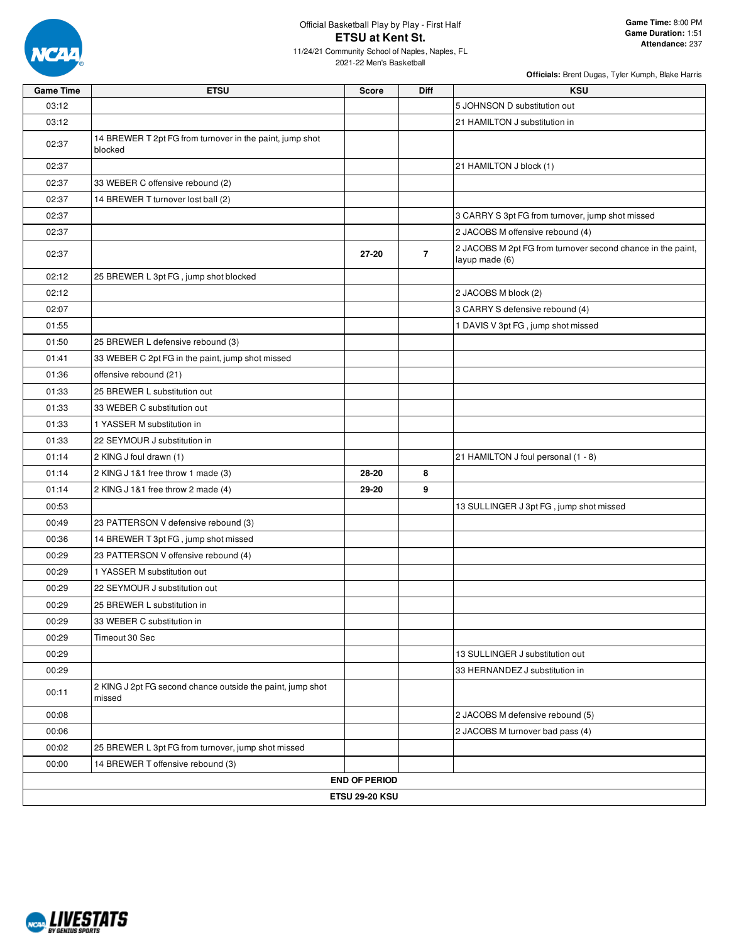

# Official Basketball Play by Play - First Half **ETSU at Kent St.**

11/24/21 Community School of Naples, Naples, FL 2021-22 Men's Basketball

| <b>Game Time</b> | <b>ETSU</b>                                                          | <b>Score</b>          | <b>Diff</b>    | <b>KSU</b>                                                                    |
|------------------|----------------------------------------------------------------------|-----------------------|----------------|-------------------------------------------------------------------------------|
| 03:12            |                                                                      |                       |                | 5 JOHNSON D substitution out                                                  |
| 03:12            |                                                                      |                       |                | 21 HAMILTON J substitution in                                                 |
| 02:37            | 14 BREWER T 2pt FG from turnover in the paint, jump shot<br>blocked  |                       |                |                                                                               |
| 02:37            |                                                                      |                       |                | 21 HAMILTON J block (1)                                                       |
| 02:37            | 33 WEBER C offensive rebound (2)                                     |                       |                |                                                                               |
| 02:37            | 14 BREWER T turnover lost ball (2)                                   |                       |                |                                                                               |
| 02:37            |                                                                      |                       |                | 3 CARRY S 3pt FG from turnover, jump shot missed                              |
| 02:37            |                                                                      |                       |                | 2 JACOBS M offensive rebound (4)                                              |
| 02:37            |                                                                      | $27 - 20$             | $\overline{7}$ | 2 JACOBS M 2pt FG from turnover second chance in the paint,<br>layup made (6) |
| 02:12            | 25 BREWER L 3pt FG, jump shot blocked                                |                       |                |                                                                               |
| 02:12            |                                                                      |                       |                | 2 JACOBS M block (2)                                                          |
| 02:07            |                                                                      |                       |                | 3 CARRY S defensive rebound (4)                                               |
| 01:55            |                                                                      |                       |                | 1 DAVIS V 3pt FG, jump shot missed                                            |
| 01:50            | 25 BREWER L defensive rebound (3)                                    |                       |                |                                                                               |
| 01:41            | 33 WEBER C 2pt FG in the paint, jump shot missed                     |                       |                |                                                                               |
| 01:36            | offensive rebound (21)                                               |                       |                |                                                                               |
| 01:33            | 25 BREWER L substitution out                                         |                       |                |                                                                               |
| 01:33            | 33 WEBER C substitution out                                          |                       |                |                                                                               |
| 01:33            | 1 YASSER M substitution in                                           |                       |                |                                                                               |
| 01:33            | 22 SEYMOUR J substitution in                                         |                       |                |                                                                               |
| 01:14            | 2 KING J foul drawn (1)                                              |                       |                | 21 HAMILTON J foul personal (1 - 8)                                           |
| 01:14            | 2 KING J 1&1 free throw 1 made (3)                                   | 28-20                 | 8              |                                                                               |
| 01:14            | 2 KING J 1&1 free throw 2 made (4)                                   | 29-20                 | 9              |                                                                               |
| 00:53            |                                                                      |                       |                | 13 SULLINGER J 3pt FG, jump shot missed                                       |
| 00:49            | 23 PATTERSON V defensive rebound (3)                                 |                       |                |                                                                               |
| 00:36            | 14 BREWER T 3pt FG, jump shot missed                                 |                       |                |                                                                               |
| 00:29            | 23 PATTERSON V offensive rebound (4)                                 |                       |                |                                                                               |
| 00:29            | 1 YASSER M substitution out                                          |                       |                |                                                                               |
| 00:29            | 22 SEYMOUR J substitution out                                        |                       |                |                                                                               |
| 00:29            | 25 BREWER L substitution in                                          |                       |                |                                                                               |
| 00:29            | 33 WEBER C substitution in                                           |                       |                |                                                                               |
| 00:29            | Timeout 30 Sec                                                       |                       |                |                                                                               |
| 00:29            |                                                                      |                       |                | 13 SULLINGER J substitution out                                               |
| 00:29            |                                                                      |                       |                | 33 HERNANDEZ J substitution in                                                |
| 00:11            | 2 KING J 2pt FG second chance outside the paint, jump shot<br>missed |                       |                |                                                                               |
| 00:08            |                                                                      |                       |                | 2 JACOBS M defensive rebound (5)                                              |
| 00:06            |                                                                      |                       |                | 2 JACOBS M turnover bad pass (4)                                              |
| 00:02            | 25 BREWER L 3pt FG from turnover, jump shot missed                   |                       |                |                                                                               |
| 00:00            | 14 BREWER T offensive rebound (3)                                    |                       |                |                                                                               |
|                  |                                                                      | <b>END OF PERIOD</b>  |                |                                                                               |
|                  |                                                                      | <b>ETSU 29-20 KSU</b> |                |                                                                               |

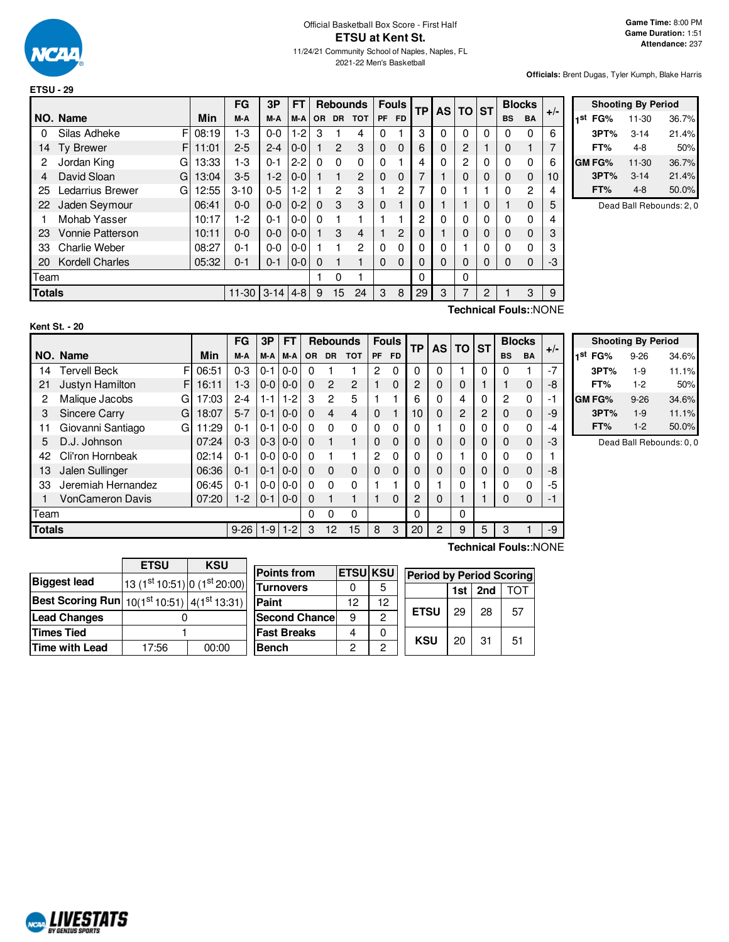

|               |                              |       | FG        | 3P         | FT      |           |                | <b>Rebounds</b> |    | <b>Fouls</b> | TP       | <b>AS</b> | <b>TO</b> | <b>ST</b> | <b>Blocks</b>         |           | $+/-$ |
|---------------|------------------------------|-------|-----------|------------|---------|-----------|----------------|-----------------|----|--------------|----------|-----------|-----------|-----------|-----------------------|-----------|-------|
|               | NO. Name                     | Min   | M-A       | M-A        | M-A     | <b>OR</b> | <b>DR</b>      | <b>TOT</b>      | PF | <b>FD</b>    |          |           |           |           | <b>BS</b>             | <b>BA</b> |       |
| 0             | F<br>Silas Adheke            | 08:19 | 1-3       | $0-0$      | $1-2$   | 3         |                | 4               | 0  |              | 3        | 0         | 0         | 0         | 0                     | 0         | 6     |
| 14            | F.<br><b>Ty Brewer</b>       | 11:01 | $2 - 5$   | $2 - 4$    | $0 - 0$ |           | $\overline{2}$ | 3               | 0  | 0            | 6        | 0         | 2         |           | 0                     |           |       |
| 2             | Jordan King<br>G             | 13:33 | $1-3$     | $0 - 1$    | $2 - 2$ | $\Omega$  | $\Omega$       | 0               | 0  |              | 4        | 0         | 2         | 0         | 0                     | 0         | 6     |
| 4             | David Sloan<br>G             | 13:04 | $3-5$     | $1-2$      | $0 - 0$ |           |                | 2               | 0  | 0            | 7        |           | 0         | 0         | $\Omega$              | 0         | 10    |
| 25            | <b>Ledarrius Brewer</b><br>G | 12:55 | $3 - 10$  | $0 - 5$    | $1-2$   |           | 2              | 3               |    | 2            | 7        | 0         |           |           | 0                     | 2         | 4     |
| 22            | Jaden Seymour                | 06:41 | $0-0$     | $0-0$      | $0 - 2$ | $\Omega$  | 3              | 3               | 0  |              | 0        |           |           | 0         |                       | 0         | 5     |
|               | Mohab Yasser                 | 10:17 | $1-2$     | $0 - 1$    | $0-0$   | $\Omega$  |                |                 |    |              | 2        | 0         | 0         | 0         | 0                     | 0         | 4     |
| 23            | <b>Vonnie Patterson</b>      | 10:11 | $0 - 0$   | $0-0$      | $0 - 0$ |           | 3              | 4               |    | 2            | 0        |           | 0         | 0         | $\Omega$              | 0         | 3     |
| 33            | <b>Charlie Weber</b>         | 08:27 | $0 - 1$   | $0-0$      | $0-0$   |           |                | 2               | 0  | 0            | 0        | 0         |           | 0         | 0                     | 0         | 3     |
| 20            | <b>Kordell Charles</b>       | 05:32 | $0 - 1$   | $0 - 1$    | $0 - 0$ | $\Omega$  |                | 1               | 0  | 0            | 0        | 0         | 0         | 0         | 0                     | 0         | -3    |
| Team          |                              |       |           |            |         |           | 0              |                 |    |              | $\Omega$ |           | 0         |           |                       |           |       |
| <b>Totals</b> |                              |       | $11 - 30$ | $3-14$ 4-8 |         | 9         | 15             | 24              | 3  | 8            | 29       | 3         | 7         | 2         |                       | 3         | 9     |
|               |                              |       |           |            |         |           |                |                 |    |              |          |           |           |           | Technical Foule: NONE |           |       |

|     | <b>Shooting By Period</b> |           |       |  |  |  |  |  |  |  |  |  |
|-----|---------------------------|-----------|-------|--|--|--|--|--|--|--|--|--|
| 1st | FG%                       | $11 - 30$ | 36.7% |  |  |  |  |  |  |  |  |  |
|     | 3PT%                      | $3 - 14$  | 21.4% |  |  |  |  |  |  |  |  |  |
|     | FT%                       | 4-8       | 50%   |  |  |  |  |  |  |  |  |  |
|     | <b>GM FG%</b>             | $11 - 30$ | 36.7% |  |  |  |  |  |  |  |  |  |
|     | 3PT%                      | $3 - 14$  | 21.4% |  |  |  |  |  |  |  |  |  |
|     | FT%                       | $4 - 8$   | 50.0% |  |  |  |  |  |  |  |  |  |

Dead Ball Rebounds: 2, 0

| Kent St. - 20 |  |  |  |  |
|---------------|--|--|--|--|
|---------------|--|--|--|--|

**Technical Fouls:**:NONE

|               |                           |       | FG       | 3Р      | <b>FT</b> |           | <b>Rebounds</b> |               |             | <b>Fouls</b> | <b>TP</b> | <b>AS</b>      | ΤO       | <b>ST</b> |             | <b>Blocks</b> | $+/-$ |
|---------------|---------------------------|-------|----------|---------|-----------|-----------|-----------------|---------------|-------------|--------------|-----------|----------------|----------|-----------|-------------|---------------|-------|
|               | NO. Name                  | Min   | M-A      | M-A     | M-A       | <b>OR</b> | <b>DR</b>       | <b>TOT</b>    | PF          | <b>FD</b>    |           |                |          |           | <b>BS</b>   | <b>BA</b>     |       |
| 14            | F<br><b>Tervell Beck</b>  | 06:51 | $0 - 3$  | $0 - 1$ | $0-0$     | 0         |                 |               | 2           | 0            | $\Omega$  | 0              |          | 0         | 0           |               | $-7$  |
| 21            | Justyn Hamilton<br>F      | 16:11 | $1 - 3$  | $0-0$   | $0 - 0$   | $\Omega$  | $\mathcal{P}$   | $\mathcal{P}$ |             | $\Omega$     | 2         | 0              | 0        |           | 1           | 0             | -8    |
| 2             | Malique Jacobs<br>G       | 17:03 | $2 - 4$  | $1 - 1$ | $1-2$     | 3         | 2               | 5             |             |              | 6         | 0              | 4        | 0         | 2           | 0             | -1    |
| 3             | <b>Sincere Carry</b><br>G | 18:07 | $5 - 7$  | $0 - 1$ | $0 - 0$   | $\Omega$  | 4               | 4             | $\mathbf 0$ |              | 10        | 0              | 2        | 2         | $\mathbf 0$ | $\Omega$      | -9    |
| 11            | Giovanni Santiago<br>G    | 11:29 | $0 - 1$  | $0 - 1$ | $0-0$     | $\Omega$  | $\Omega$        | 0             | $\Omega$    | 0            |           |                | 0        | 0         | $\Omega$    | 0             | -4    |
| 5             | D.J. Johnson              | 07:24 | $0 - 3$  | $0 - 3$ | $0 - 0$   | $\Omega$  |                 |               | $\Omega$    | $\Omega$     |           | 0              | $\Omega$ | 0         | $\Omega$    | $\Omega$      | -3    |
| 42            | Cli'ron Hornbeak          | 02:14 | 0-1      | $0 - 0$ | $0 - 0$   | 0         |                 |               | 2           | 0            |           | 0              |          | 0         | 0           | 0             |       |
| 13            | Jalen Sullinger           | 06:36 | $0 - 1$  | $0 - 1$ | $0 - 0$   | $\Omega$  | $\Omega$        | 0             | $\Omega$    | $\Omega$     |           | 0              | 0        | 0         | $\mathbf 0$ | $\Omega$      | -8    |
| 33            | Jeremiah Hernandez        | 06:45 | 0-1      | $0-0$   | $0 - 0$   | 0         | $\Omega$        | 0             |             |              |           |                | 0        |           | 0           | O             | -5    |
|               | <b>VonCameron Davis</b>   | 07:20 | $1 - 2$  | $0 - 1$ | $0 - 0$   | 0         |                 |               |             | $\Omega$     | 2         | 0              |          |           | 0           | 0             | -1    |
| Team          |                           |       |          |         |           | 0         | 0               | 0             |             |              | 0         |                | 0        |           |             |               |       |
| <b>Totals</b> |                           |       | $9 - 26$ | $1 - 9$ | $1-2$     | 3         | 12              | 15            | 8           | 3            | 20        | $\overline{2}$ | 9        | 5         | 3           |               | -9    |

 $\overline{\phantom{0}}$ 

| <b>Shooting By Period</b> |          |       |  |  |  |  |  |  |  |
|---------------------------|----------|-------|--|--|--|--|--|--|--|
| 1 <sup>st</sup> FG%       | $9 - 26$ | 34.6% |  |  |  |  |  |  |  |
| 3PT%                      | $1-9$    | 11.1% |  |  |  |  |  |  |  |
| FT%                       | $1-2$    | 50%   |  |  |  |  |  |  |  |
| <b>GM FG%</b>             | $9 - 26$ | 34.6% |  |  |  |  |  |  |  |
| 3PT%                      | $1-9$    | 11.1% |  |  |  |  |  |  |  |
| FT%                       | $1-2$    | 50.0% |  |  |  |  |  |  |  |

Dead Ball Rebounds: 0, 0

|                                                                    | <b>ETSU</b>                  | <b>KSU</b> |  |  |  |
|--------------------------------------------------------------------|------------------------------|------------|--|--|--|
| <b>Biggest lead</b>                                                | 13 (1st 10:51) 0 (1st 20:00) |            |  |  |  |
| <b>Best Scoring Run</b> $10(1^{st}10.51)$ 4(1 <sup>st</sup> 13:31) |                              |            |  |  |  |
| <b>Lead Changes</b>                                                |                              |            |  |  |  |
| <b>Times Tied</b>                                                  |                              |            |  |  |  |
| <b>Time with Lead</b>                                              | 17:56                        | 00:00      |  |  |  |

| <b>Points from</b>    | <b>ETSU KSU</b> |    | <b>Period by Period Scoring</b> |     |     |      |  |  |
|-----------------------|-----------------|----|---------------------------------|-----|-----|------|--|--|
| <b>Turnovers</b>      |                 | 5  |                                 | 1st | 2nd | "Oʻi |  |  |
| Paint                 | 12              | 12 |                                 |     |     |      |  |  |
| <b>Second Chancel</b> | 9               | 2  | <b>ETSU</b>                     | 29  | 28  | 57   |  |  |
| <b>Fast Breaks</b>    |                 | 0  |                                 |     |     |      |  |  |
| <b>Bench</b>          | 2               | 2  | <b>KSU</b>                      | 20  | 31  | 51   |  |  |

**Technical Fouls:**:NONE

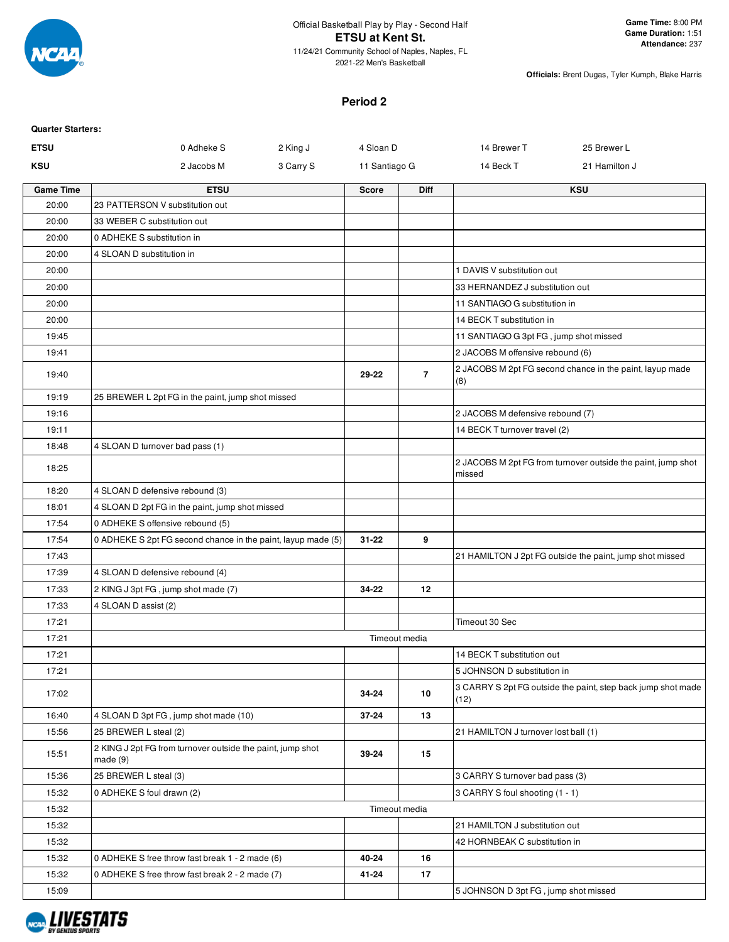

2021-22 Men's Basketball

**Officials:** Brent Dugas, Tyler Kumph, Blake Harris

### **Period 2**

| <b>Quarter Starters:</b> |                                                                       |               |                |                                        |                                                              |
|--------------------------|-----------------------------------------------------------------------|---------------|----------------|----------------------------------------|--------------------------------------------------------------|
| <b>ETSU</b>              | 2 King J<br>0 Adheke S                                                | 4 Sloan D     |                | 14 Brewer T                            | 25 Brewer L                                                  |
| <b>KSU</b>               | 2 Jacobs M<br>3 Carry S                                               | 11 Santiago G |                | 14 Beck T                              | 21 Hamilton J                                                |
| <b>Game Time</b>         | <b>ETSU</b>                                                           | <b>Score</b>  | <b>Diff</b>    |                                        | <b>KSU</b>                                                   |
| 20:00                    | 23 PATTERSON V substitution out                                       |               |                |                                        |                                                              |
| 20:00                    | 33 WEBER C substitution out                                           |               |                |                                        |                                                              |
| 20:00                    | 0 ADHEKE S substitution in                                            |               |                |                                        |                                                              |
| 20:00                    | 4 SLOAN D substitution in                                             |               |                |                                        |                                                              |
| 20:00                    |                                                                       |               |                | 1 DAVIS V substitution out             |                                                              |
| 20:00                    |                                                                       |               |                | 33 HERNANDEZ J substitution out        |                                                              |
| 20:00                    |                                                                       |               |                | 11 SANTIAGO G substitution in          |                                                              |
| 20:00                    |                                                                       |               |                | 14 BECK T substitution in              |                                                              |
| 19:45                    |                                                                       |               |                | 11 SANTIAGO G 3pt FG, jump shot missed |                                                              |
| 19:41                    |                                                                       |               |                | 2 JACOBS M offensive rebound (6)       |                                                              |
| 19:40                    |                                                                       | 29-22         | $\overline{7}$ | (8)                                    | 2 JACOBS M 2pt FG second chance in the paint, layup made     |
| 19:19                    | 25 BREWER L 2pt FG in the paint, jump shot missed                     |               |                |                                        |                                                              |
| 19:16                    |                                                                       |               |                | 2 JACOBS M defensive rebound (7)       |                                                              |
| 19:11                    |                                                                       |               |                | 14 BECK T turnover travel (2)          |                                                              |
| 18:48                    | 4 SLOAN D turnover bad pass (1)                                       |               |                |                                        |                                                              |
| 18:25                    |                                                                       |               |                | missed                                 | 2 JACOBS M 2pt FG from turnover outside the paint, jump shot |
| 18:20                    | 4 SLOAN D defensive rebound (3)                                       |               |                |                                        |                                                              |
| 18:01                    | 4 SLOAN D 2pt FG in the paint, jump shot missed                       |               |                |                                        |                                                              |
| 17:54                    | 0 ADHEKE S offensive rebound (5)                                      |               |                |                                        |                                                              |
| 17:54                    | 0 ADHEKE S 2pt FG second chance in the paint, layup made (5)          | $31 - 22$     | 9              |                                        |                                                              |
| 17:43                    |                                                                       |               |                |                                        | 21 HAMILTON J 2pt FG outside the paint, jump shot missed     |
| 17:39                    | 4 SLOAN D defensive rebound (4)                                       |               |                |                                        |                                                              |
| 17:33                    | 2 KING J 3pt FG, jump shot made (7)                                   | 34-22         | 12             |                                        |                                                              |
| 17:33                    | 4 SLOAN D assist (2)                                                  |               |                |                                        |                                                              |
| 17:21                    |                                                                       |               |                | Timeout 30 Sec                         |                                                              |
| 17:21                    |                                                                       |               | Timeout media  |                                        |                                                              |
| 17:21                    |                                                                       |               |                | 14 BECK T substitution out             |                                                              |
| 17:21                    |                                                                       |               |                | 5 JOHNSON D substitution in            |                                                              |
| 17:02                    |                                                                       | 34-24         | 10             | (12)                                   | 3 CARRY S 2pt FG outside the paint, step back jump shot made |
| 16:40                    | 4 SLOAN D 3pt FG, jump shot made (10)                                 | 37-24         | 13             |                                        |                                                              |
| 15:56                    | 25 BREWER L steal (2)                                                 |               |                | 21 HAMILTON J turnover lost ball (1)   |                                                              |
| 15:51                    | 2 KING J 2pt FG from turnover outside the paint, jump shot<br>made(9) | 39-24         | 15             |                                        |                                                              |
| 15:36                    | 25 BREWER L steal (3)                                                 |               |                | 3 CARRY S turnover bad pass (3)        |                                                              |
| 15:32                    | 0 ADHEKE S foul drawn (2)                                             |               |                | 3 CARRY S foul shooting (1 - 1)        |                                                              |
| 15:32                    |                                                                       |               | Timeout media  |                                        |                                                              |
| 15:32                    |                                                                       |               |                | 21 HAMILTON J substitution out         |                                                              |
| 15:32                    |                                                                       |               |                | 42 HORNBEAK C substitution in          |                                                              |
| 15:32                    | 0 ADHEKE S free throw fast break 1 - 2 made (6)                       | 40-24         | 16             |                                        |                                                              |
| 15:32                    | 0 ADHEKE S free throw fast break 2 - 2 made (7)                       | 41-24         | 17             |                                        |                                                              |
| 15:09                    |                                                                       |               |                | 5 JOHNSON D 3pt FG, jump shot missed   |                                                              |

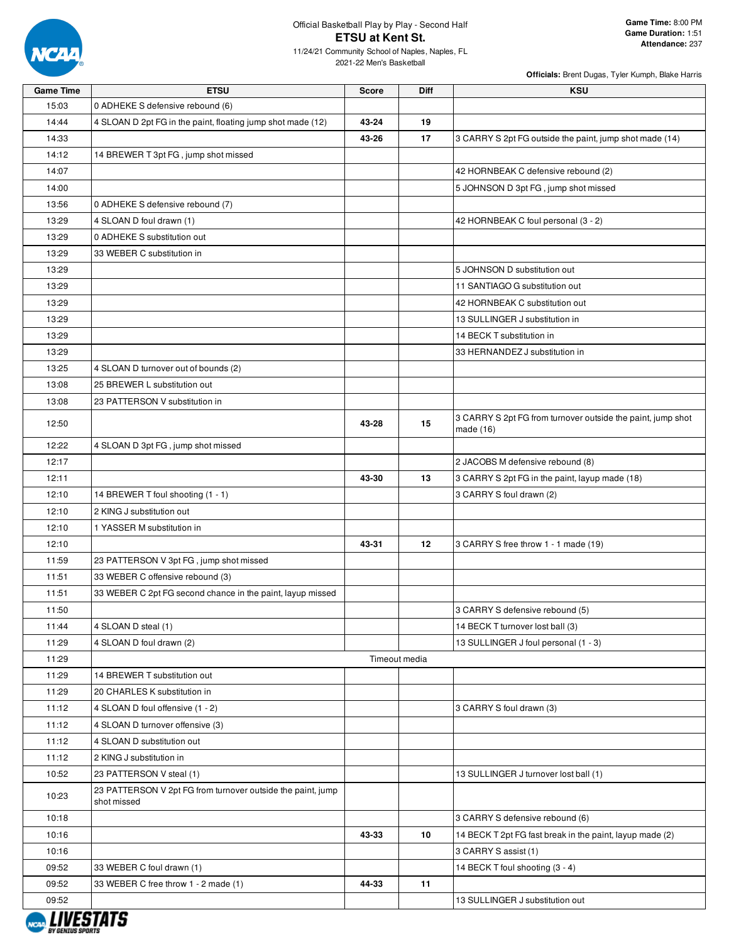

| <b>Game Time</b> | <b>ETSU</b>                                                                | <b>Score</b>  | Diff | <b>KSU</b>                                                               |
|------------------|----------------------------------------------------------------------------|---------------|------|--------------------------------------------------------------------------|
| 15:03            | 0 ADHEKE S defensive rebound (6)                                           |               |      |                                                                          |
| 14:44            | 4 SLOAN D 2pt FG in the paint, floating jump shot made (12)                | 43-24         | 19   |                                                                          |
| 14:33            |                                                                            | 43-26         | 17   | 3 CARRY S 2pt FG outside the paint, jump shot made (14)                  |
| 14:12            | 14 BREWER T 3pt FG, jump shot missed                                       |               |      |                                                                          |
| 14:07            |                                                                            |               |      | 42 HORNBEAK C defensive rebound (2)                                      |
| 14:00            |                                                                            |               |      | 5 JOHNSON D 3pt FG, jump shot missed                                     |
| 13:56            | 0 ADHEKE S defensive rebound (7)                                           |               |      |                                                                          |
| 13:29            | 4 SLOAN D foul drawn (1)                                                   |               |      | 42 HORNBEAK C foul personal (3 - 2)                                      |
| 13:29            | 0 ADHEKE S substitution out                                                |               |      |                                                                          |
| 13:29            | 33 WEBER C substitution in                                                 |               |      |                                                                          |
| 13:29            |                                                                            |               |      | 5 JOHNSON D substitution out                                             |
| 13:29            |                                                                            |               |      | 11 SANTIAGO G substitution out                                           |
| 13:29            |                                                                            |               |      | 42 HORNBEAK C substitution out                                           |
| 13:29            |                                                                            |               |      | 13 SULLINGER J substitution in                                           |
| 13:29            |                                                                            |               |      | 14 BECK T substitution in                                                |
| 13:29            |                                                                            |               |      | 33 HERNANDEZ J substitution in                                           |
| 13:25            | 4 SLOAN D turnover out of bounds (2)                                       |               |      |                                                                          |
| 13:08            | 25 BREWER L substitution out                                               |               |      |                                                                          |
| 13:08            | 23 PATTERSON V substitution in                                             |               |      |                                                                          |
| 12:50            |                                                                            | 43-28         | 15   | 3 CARRY S 2pt FG from turnover outside the paint, jump shot<br>made (16) |
| 12:22            | 4 SLOAN D 3pt FG, jump shot missed                                         |               |      |                                                                          |
| 12:17            |                                                                            |               |      | 2 JACOBS M defensive rebound (8)                                         |
| 12:11            |                                                                            | 43-30         | 13   | 3 CARRY S 2pt FG in the paint, layup made (18)                           |
| 12:10            | 14 BREWER T foul shooting (1 - 1)                                          |               |      | 3 CARRY S foul drawn (2)                                                 |
| 12:10            | 2 KING J substitution out                                                  |               |      |                                                                          |
| 12:10            | 1 YASSER M substitution in                                                 |               |      |                                                                          |
| 12:10            |                                                                            | 43-31         | 12   | 3 CARRY S free throw 1 - 1 made (19)                                     |
| 11:59            | 23 PATTERSON V 3pt FG, jump shot missed                                    |               |      |                                                                          |
| 11:51            | 33 WEBER C offensive rebound (3)                                           |               |      |                                                                          |
| 11:51            | 33 WEBER C 2pt FG second chance in the paint, layup missed                 |               |      |                                                                          |
| 11:50            |                                                                            |               |      | 3 CARRY S defensive rebound (5)                                          |
| 11:44            | 4 SLOAN D steal (1)                                                        |               |      | 14 BECK T turnover lost ball (3)                                         |
| 11:29            | 4 SLOAN D foul drawn (2)                                                   |               |      | 13 SULLINGER J foul personal (1 - 3)                                     |
| 11:29            |                                                                            | Timeout media |      |                                                                          |
| 11:29            | 14 BREWER T substitution out                                               |               |      |                                                                          |
| 11:29            | 20 CHARLES K substitution in                                               |               |      |                                                                          |
| 11:12            | 4 SLOAN D foul offensive (1 - 2)                                           |               |      | 3 CARRY S foul drawn (3)                                                 |
| 11:12            | 4 SLOAN D turnover offensive (3)                                           |               |      |                                                                          |
| 11:12            | 4 SLOAN D substitution out                                                 |               |      |                                                                          |
| 11:12            | 2 KING J substitution in                                                   |               |      |                                                                          |
| 10:52            | 23 PATTERSON V steal (1)                                                   |               |      | 13 SULLINGER J turnover lost ball (1)                                    |
| 10:23            | 23 PATTERSON V 2pt FG from turnover outside the paint, jump<br>shot missed |               |      |                                                                          |
| 10:18            |                                                                            |               |      | 3 CARRY S defensive rebound (6)                                          |
| 10:16            |                                                                            | 43-33         | 10   | 14 BECK T 2pt FG fast break in the paint, layup made (2)                 |
| 10:16            |                                                                            |               |      | 3 CARRY S assist (1)                                                     |
| 09:52            | 33 WEBER C foul drawn (1)                                                  |               |      | 14 BECK T foul shooting (3 - 4)                                          |
| 09:52            | 33 WEBER C free throw 1 - 2 made (1)                                       | 44-33         | 11   |                                                                          |
| 09:52            |                                                                            |               |      | 13 SULLINGER J substitution out                                          |
|                  |                                                                            |               |      |                                                                          |

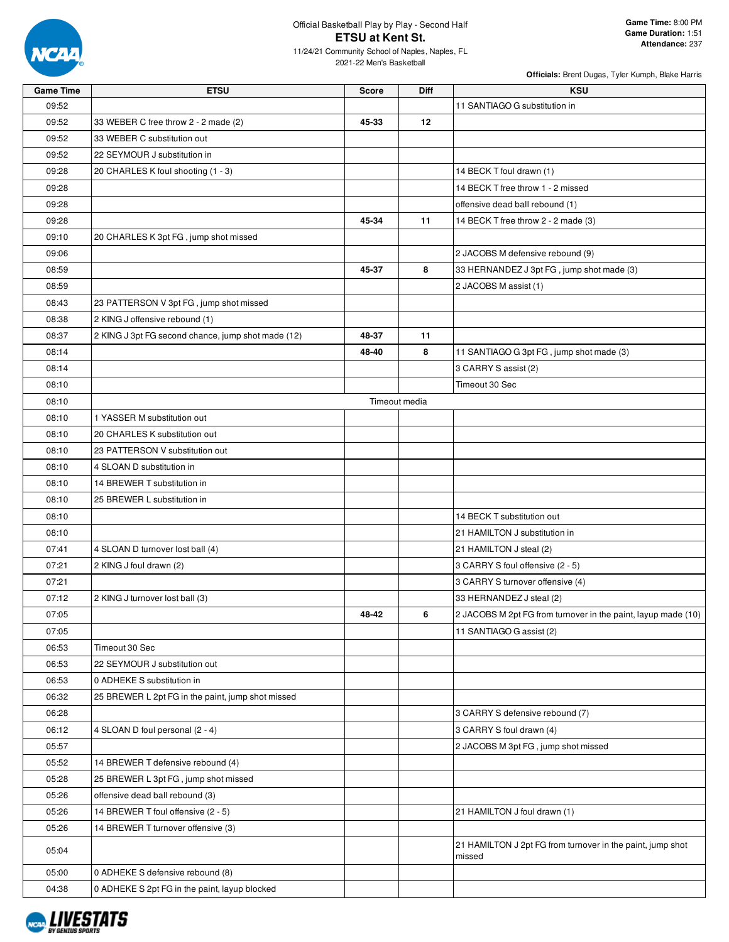

| <b>Game Time</b> | <b>ETSU</b>                                        | <b>Score</b> | <b>Diff</b>   | <b>KSU</b>                                                    |
|------------------|----------------------------------------------------|--------------|---------------|---------------------------------------------------------------|
| 09:52            |                                                    |              |               | 11 SANTIAGO G substitution in                                 |
| 09:52            | 33 WEBER C free throw 2 - 2 made (2)               | 45-33        | 12            |                                                               |
| 09:52            | 33 WEBER C substitution out                        |              |               |                                                               |
| 09:52            | 22 SEYMOUR J substitution in                       |              |               |                                                               |
| 09:28            | 20 CHARLES K foul shooting (1 - 3)                 |              |               | 14 BECK T foul drawn (1)                                      |
| 09:28            |                                                    |              |               | 14 BECK T free throw 1 - 2 missed                             |
| 09:28            |                                                    |              |               | offensive dead ball rebound (1)                               |
| 09:28            |                                                    | 45-34        | 11            | 14 BECK T free throw 2 - 2 made (3)                           |
| 09:10            | 20 CHARLES K 3pt FG, jump shot missed              |              |               |                                                               |
| 09:06            |                                                    |              |               | 2 JACOBS M defensive rebound (9)                              |
| 08:59            |                                                    | 45-37        | 8             | 33 HERNANDEZ J 3pt FG, jump shot made (3)                     |
| 08:59            |                                                    |              |               | 2 JACOBS M assist (1)                                         |
| 08:43            | 23 PATTERSON V 3pt FG, jump shot missed            |              |               |                                                               |
| 08:38            | 2 KING J offensive rebound (1)                     |              |               |                                                               |
| 08:37            | 2 KING J 3pt FG second chance, jump shot made (12) | 48-37        | 11            |                                                               |
| 08:14            |                                                    | 48-40        | 8             | 11 SANTIAGO G 3pt FG, jump shot made (3)                      |
| 08:14            |                                                    |              |               | 3 CARRY S assist (2)                                          |
| 08:10            |                                                    |              |               | Timeout 30 Sec                                                |
| 08:10            |                                                    |              | Timeout media |                                                               |
| 08:10            | 1 YASSER M substitution out                        |              |               |                                                               |
| 08:10            | 20 CHARLES K substitution out                      |              |               |                                                               |
| 08:10            | 23 PATTERSON V substitution out                    |              |               |                                                               |
| 08:10            | 4 SLOAN D substitution in                          |              |               |                                                               |
| 08:10            | 14 BREWER T substitution in                        |              |               |                                                               |
| 08:10            | 25 BREWER L substitution in                        |              |               |                                                               |
| 08:10            |                                                    |              |               | 14 BECK T substitution out                                    |
| 08:10            |                                                    |              |               | 21 HAMILTON J substitution in                                 |
| 07:41            | 4 SLOAN D turnover lost ball (4)                   |              |               | 21 HAMILTON J steal (2)                                       |
| 07:21            | 2 KING J foul drawn (2)                            |              |               | 3 CARRY S foul offensive (2 - 5)                              |
| 07:21            |                                                    |              |               | 3 CARRY S turnover offensive (4)                              |
| 07:12            | 2 KING J turnover lost ball (3)                    |              |               | 33 HERNANDEZ J steal (2)                                      |
| 07:05            |                                                    | 48-42        | 6             | 2 JACOBS M 2pt FG from turnover in the paint, layup made (10) |
| 07:05            |                                                    |              |               | 11 SANTIAGO G assist (2)                                      |
| 06:53            | Timeout 30 Sec                                     |              |               |                                                               |
| 06:53            | 22 SEYMOUR J substitution out                      |              |               |                                                               |
| 06:53            | 0 ADHEKE S substitution in                         |              |               |                                                               |
| 06:32            | 25 BREWER L 2pt FG in the paint, jump shot missed  |              |               |                                                               |
| 06:28            |                                                    |              |               | 3 CARRY S defensive rebound (7)                               |
| 06:12            | 4 SLOAN D foul personal (2 - 4)                    |              |               | 3 CARRY S foul drawn (4)                                      |
| 05:57            |                                                    |              |               | 2 JACOBS M 3pt FG, jump shot missed                           |
| 05:52            | 14 BREWER T defensive rebound (4)                  |              |               |                                                               |
| 05:28            | 25 BREWER L 3pt FG, jump shot missed               |              |               |                                                               |
| 05:26            | offensive dead ball rebound (3)                    |              |               |                                                               |
| 05:26            | 14 BREWER T foul offensive (2 - 5)                 |              |               | 21 HAMILTON J foul drawn (1)                                  |
| 05:26            | 14 BREWER T turnover offensive (3)                 |              |               |                                                               |
|                  |                                                    |              |               | 21 HAMILTON J 2pt FG from turnover in the paint, jump shot    |
| 05:04            |                                                    |              |               | missed                                                        |
| 05:00            | 0 ADHEKE S defensive rebound (8)                   |              |               |                                                               |
| 04:38            | 0 ADHEKE S 2pt FG in the paint, layup blocked      |              |               |                                                               |

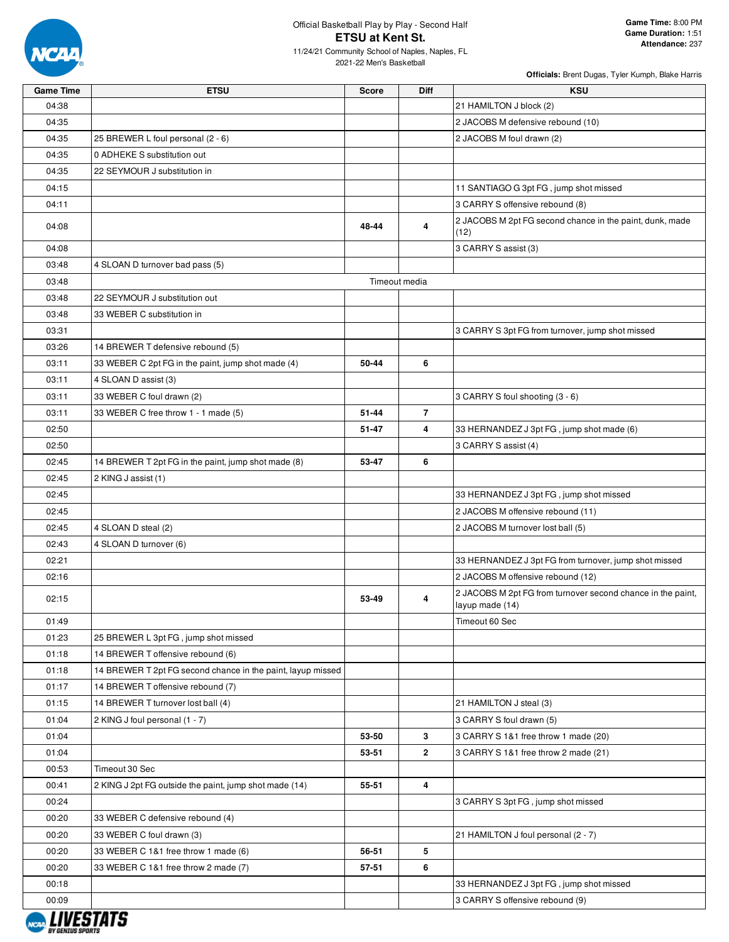

| <b>Game Time</b> | <b>ETSU</b>                                                 | <b>Score</b> | Diff           | <b>KSU</b>                                                                     |
|------------------|-------------------------------------------------------------|--------------|----------------|--------------------------------------------------------------------------------|
| 04:38            |                                                             |              |                | 21 HAMILTON J block (2)                                                        |
| 04:35            |                                                             |              |                | 2 JACOBS M defensive rebound (10)                                              |
| 04:35            | 25 BREWER L foul personal (2 - 6)                           |              |                | 2 JACOBS M foul drawn (2)                                                      |
| 04:35            | 0 ADHEKE S substitution out                                 |              |                |                                                                                |
| 04:35            | 22 SEYMOUR J substitution in                                |              |                |                                                                                |
| 04:15            |                                                             |              |                | 11 SANTIAGO G 3pt FG, jump shot missed                                         |
| 04:11            |                                                             |              |                | 3 CARRY S offensive rebound (8)                                                |
| 04:08            |                                                             | 48-44        | 4              | 2 JACOBS M 2pt FG second chance in the paint, dunk, made<br>(12)               |
| 04:08            |                                                             |              |                | 3 CARRY S assist (3)                                                           |
| 03:48            | 4 SLOAN D turnover bad pass (5)                             |              |                |                                                                                |
| 03:48            |                                                             |              | Timeout media  |                                                                                |
| 03:48            | 22 SEYMOUR J substitution out                               |              |                |                                                                                |
| 03:48            | 33 WEBER C substitution in                                  |              |                |                                                                                |
| 03:31            |                                                             |              |                | 3 CARRY S 3pt FG from turnover, jump shot missed                               |
| 03:26            | 14 BREWER T defensive rebound (5)                           |              |                |                                                                                |
| 03:11            | 33 WEBER C 2pt FG in the paint, jump shot made (4)          | 50-44        | 6              |                                                                                |
| 03:11            | 4 SLOAN D assist (3)                                        |              |                |                                                                                |
| 03:11            | 33 WEBER C foul drawn (2)                                   |              |                | 3 CARRY S foul shooting (3 - 6)                                                |
| 03:11            | 33 WEBER C free throw 1 - 1 made (5)                        | 51-44        | $\overline{7}$ |                                                                                |
| 02:50            |                                                             | 51-47        | 4              | 33 HERNANDEZ J 3pt FG, jump shot made (6)                                      |
| 02:50            |                                                             |              |                | 3 CARRY S assist (4)                                                           |
| 02:45            | 14 BREWER T 2pt FG in the paint, jump shot made (8)         | 53-47        | 6              |                                                                                |
| 02:45            | 2 KING J assist (1)                                         |              |                |                                                                                |
| 02:45            |                                                             |              |                | 33 HERNANDEZ J 3pt FG, jump shot missed                                        |
|                  |                                                             |              |                |                                                                                |
| 02:45            |                                                             |              |                | 2 JACOBS M offensive rebound (11)                                              |
| 02:45            | 4 SLOAN D steal (2)                                         |              |                | 2 JACOBS M turnover lost ball (5)                                              |
| 02:43            | 4 SLOAN D turnover (6)                                      |              |                |                                                                                |
| 02:21            |                                                             |              |                | 33 HERNANDEZ J 3pt FG from turnover, jump shot missed                          |
| 02:16            |                                                             |              |                | 2 JACOBS M offensive rebound (12)                                              |
| 02:15            |                                                             | 53-49        | 4              | 2 JACOBS M 2pt FG from turnover second chance in the paint,<br>layup made (14) |
| 01:49            |                                                             |              |                | Timeout 60 Sec                                                                 |
| 01:23            | 25 BREWER L 3pt FG, jump shot missed                        |              |                |                                                                                |
| 01:18            | 14 BREWER T offensive rebound (6)                           |              |                |                                                                                |
| 01:18            | 14 BREWER T 2pt FG second chance in the paint, layup missed |              |                |                                                                                |
| 01:17            | 14 BREWER T offensive rebound (7)                           |              |                |                                                                                |
| 01:15            | 14 BREWER T turnover lost ball (4)                          |              |                | 21 HAMILTON J steal (3)                                                        |
| 01:04            | 2 KING J foul personal (1 - 7)                              |              |                | 3 CARRY S foul drawn (5)                                                       |
| 01:04            |                                                             | 53-50        | 3              | 3 CARRY S 1&1 free throw 1 made (20)                                           |
| 01:04            |                                                             | 53-51        | $\mathbf{2}$   | 3 CARRY S 1&1 free throw 2 made (21)                                           |
| 00:53            | Timeout 30 Sec                                              |              |                |                                                                                |
| 00:41            | 2 KING J 2pt FG outside the paint, jump shot made (14)      | 55-51        | 4              |                                                                                |
| 00:24            |                                                             |              |                | 3 CARRY S 3pt FG, jump shot missed                                             |
| 00:20            | 33 WEBER C defensive rebound (4)                            |              |                |                                                                                |
| 00:20            | 33 WEBER C foul drawn (3)                                   |              |                | 21 HAMILTON J foul personal (2 - 7)                                            |
| 00:20            | 33 WEBER C 1&1 free throw 1 made (6)                        | 56-51        | 5              |                                                                                |
| 00:20            | 33 WEBER C 1&1 free throw 2 made (7)                        | 57-51        | 6              |                                                                                |
| 00:18            |                                                             |              |                | 33 HERNANDEZ J 3pt FG, jump shot missed                                        |
| 00:09            |                                                             |              |                | 3 CARRY S offensive rebound (9)                                                |
| ,,,,,,,,,,       |                                                             |              |                |                                                                                |

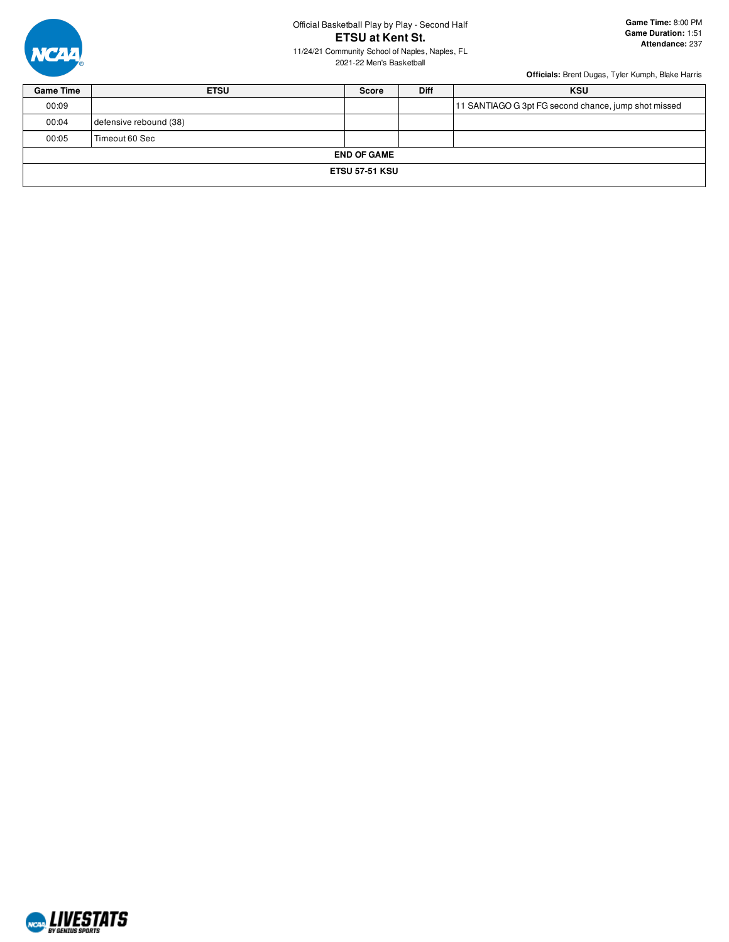

# Official Basketball Play by Play - Second Half **ETSU at Kent St.**

11/24/21 Community School of Naples, Naples, FL 2021-22 Men's Basketball

| <b>Game Time</b> | <b>ETSU</b>            | Score              | <b>Diff</b> | <b>KSU</b>                                           |  |  |  |  |  |
|------------------|------------------------|--------------------|-------------|------------------------------------------------------|--|--|--|--|--|
| 00:09            |                        |                    |             | 11 SANTIAGO G 3pt FG second chance, jump shot missed |  |  |  |  |  |
| 00:04            | defensive rebound (38) |                    |             |                                                      |  |  |  |  |  |
| 00:05            | Timeout 60 Sec         |                    |             |                                                      |  |  |  |  |  |
|                  |                        | <b>END OF GAME</b> |             |                                                      |  |  |  |  |  |
|                  | <b>ETSU 57-51 KSU</b>  |                    |             |                                                      |  |  |  |  |  |
|                  |                        |                    |             |                                                      |  |  |  |  |  |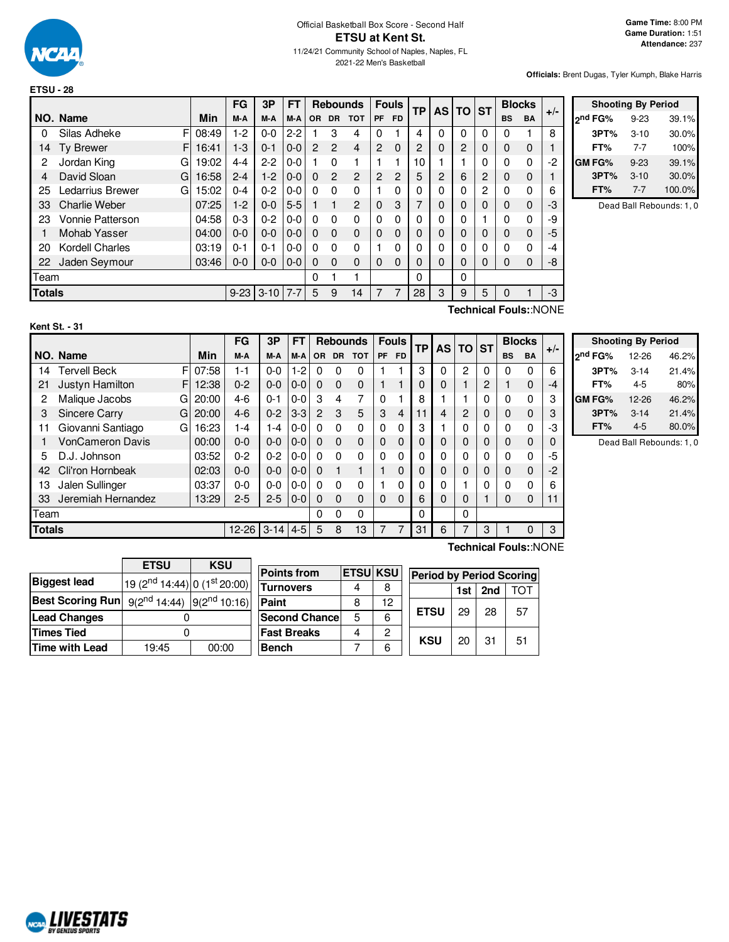

|        |                       |       | FG       | 3P       | FT      |           | <b>Rebounds</b> |                |                | <b>Fouls</b> | <b>TP</b> | <b>AS</b>      | <b>TO</b>      | <b>ST</b> | <b>Blocks</b> |                       | $+/-$ |
|--------|-----------------------|-------|----------|----------|---------|-----------|-----------------|----------------|----------------|--------------|-----------|----------------|----------------|-----------|---------------|-----------------------|-------|
|        | NO. Name              | Min   | M-A      | M-A      | M-A     | <b>OR</b> | <b>DR</b>       | <b>TOT</b>     | <b>PF</b>      | <b>FD</b>    |           |                |                |           | <b>BS</b>     | <b>BA</b>             |       |
| 0      | F<br>Silas Adheke     | 08:49 | $1-2$    | $0 - 0$  | $2 - 2$ |           | 3               | 4              | $\Omega$       |              | 4         | 0              | 0              | 0         | 0             |                       | 8     |
| 14     | <b>Ty Brewer</b><br>F | 16:41 | $1 - 3$  | $0 - 1$  | $0 - 0$ | 2         | $\overline{2}$  | 4              | $\overline{2}$ | $\Omega$     | 2         | 0              | $\overline{c}$ | 0         | 0             | $\Omega$              |       |
| 2      | Jordan King<br>G      | 19:02 | $4 - 4$  | $2-2$    | $0 - 0$ |           | 0               |                |                |              | 10        |                |                | 0         | 0             | $\mathbf{0}$          | -2    |
| 4      | David Sloan<br>G      | 16:58 | $2 - 4$  | $1-2$    | $0 - 0$ | $\Omega$  | 2               | $\mathcal{P}$  | $\overline{2}$ | 2            | 5         | $\overline{2}$ | 6              | 2         | 0             | $\Omega$              |       |
| 25     | Ledarrius Brewer<br>G | 15:02 | $0 - 4$  | $0 - 2$  | $0-0$   | 0         | 0               | 0              | 1              | 0            | 0         | ი              | 0              | 2         | 0             | $\Omega$              | 6     |
| 33     | Charlie Weber         | 07:25 | $1-2$    | $0 - 0$  | $5-5$   |           | 1               | $\overline{2}$ | $\mathbf 0$    | 3            | 7         | 0              | 0              | 0         | 0             | $\Omega$              | -3    |
| 23     | Vonnie Patterson      | 04:58 | $0 - 3$  | $0 - 2$  | $0 - 0$ | 0         | 0               | $\mathbf{0}$   | $\Omega$       | 0            | 0         | ი              | 0              |           | 0             | $\Omega$              | -9    |
|        | Mohab Yasser          | 04:00 | $0-0$    | $0 - 0$  | $0 - 0$ | 0         | $\Omega$        | $\Omega$       | $\mathbf 0$    | 0            | 0         | 0              | 0              | 0         | 0             | $\Omega$              | -5    |
| 20     | Kordell Charles       | 03:19 | $0 - 1$  | $0 - 1$  | $0 - 0$ | 0         | $\Omega$        | 0              |                | 0            | 0         | ი              | 0              | 0         | 0             | $\Omega$              | -4    |
| 22     | Jaden Seymour         | 03:46 | $0 - 0$  | $0 - 0$  | $0 - 0$ | 0         | 0               | $\Omega$       | $\Omega$       | 0            | 0         | 0              | 0              | 0         | 0             | $\Omega$              | -8    |
| Team   |                       |       |          |          |         | 0         |                 |                |                |              | 0         |                | 0              |           |               |                       |       |
| Totals |                       |       | $9 - 23$ | $3 - 10$ | $7 - 7$ | 5         | 9               | 14             | 7              | 7            | 28        | 3              | 9              | 5         | 0             |                       | -3    |
|        |                       |       |          |          |         |           |                 |                |                |              |           |                | アンストルリント       |           |               | <b>Execute ALONIE</b> |       |

| <b>Shooting By Period</b> |          |        |  |  |  |  |  |  |  |  |
|---------------------------|----------|--------|--|--|--|--|--|--|--|--|
| ond FG%                   | $9 - 23$ | 39.1%  |  |  |  |  |  |  |  |  |
| 3PT%                      | $3 - 10$ | 30.0%  |  |  |  |  |  |  |  |  |
| FT%                       | $7 - 7$  | 100%   |  |  |  |  |  |  |  |  |
| GM FG%                    | $9 - 23$ | 39.1%  |  |  |  |  |  |  |  |  |
| 3PT%                      | $3 - 10$ | 30.0%  |  |  |  |  |  |  |  |  |
| FT%                       | 7-7      | 100.0% |  |  |  |  |  |  |  |  |

Dead Ball Rebounds: 1, 0

**Technical Fouls:**:NONE

|               |                         |   |       | <b>FG</b> | 3P           | FТ      |                | <b>Rebounds</b> |              |           | <b>Fouls</b> | ТP |           | <b>TO</b>      | <b>ST</b> |           | <b>Blocks</b> | $+/-$ |
|---------------|-------------------------|---|-------|-----------|--------------|---------|----------------|-----------------|--------------|-----------|--------------|----|-----------|----------------|-----------|-----------|---------------|-------|
|               | NO. Name                |   | Min   | M-A       | M-A          | M-A     | OR.            | <b>DR</b>       | <b>TOT</b>   | <b>PF</b> | <b>FD</b>    |    | <b>AS</b> |                |           | <b>BS</b> | <b>BA</b>     |       |
| 14            | <b>Tervell Beck</b>     | F | 07:58 | 1-1       | $0 - 0$      | $-2$    | 0              | 0               | 0            |           |              | 3  | 0         | $\overline{c}$ | 0         | $\Omega$  | 0             | 6     |
| 21            | Justyn Hamilton         | F | 12:38 | $0 - 2$   | $0 - 0$      | $0 - 0$ | $\Omega$       | $\Omega$        | 0            |           |              | 0  | 0         |                | 2         |           | 0             | -4    |
| 2             | Malique Jacobs          | G | 20:00 | $4-6$     | $0 - 1$      | $0-0$   | 3              | 4               | 7            | $\Omega$  |              | 8  |           |                | 0         | $\Omega$  | 0             | 3     |
| 3             | <b>Sincere Carry</b>    | G | 20:00 | $4-6$     | $0 - 2$      | $3 - 3$ | $\overline{2}$ | 3               | 5            | 3         | 4            | 11 | 4         | $\overline{2}$ | 0         | 0         | 0             | 3     |
| 11            | Giovanni Santiago       | G | 16:23 | $1 - 4$   | $-4$         | $0 - 0$ | 0              | $\Omega$        | 0            | $\Omega$  | 0            | 3  |           | 0              | 0         | $\Omega$  | 0             | -3    |
|               | <b>VonCameron Davis</b> |   | 00:00 | $0 - 0$   | $0 - 0$      | $0-0$   | $\Omega$       | $\Omega$        | $\mathbf{0}$ | 0         | $\Omega$     | 0  | 0         | $\Omega$       | 0         | 0         | 0             | 0     |
| 5             | D.J. Johnson            |   | 03:52 | $0 - 2$   | $0 - 2$      | $0 - 0$ | 0              | $\Omega$        | 0            | $\Omega$  | 0            | 0  | 0         | 0              | 0         | $\Omega$  | 0             | -5    |
| 42            | Cli'ron Hornbeak        |   | 02:03 | $0 - 0$   | $0-0$        | $0 - 0$ | $\Omega$       |                 | 4            |           | 0            | 0  | 0         | $\Omega$       | 0         | 0         | 0             | $-2$  |
| 13            | Jalen Sullinger         |   | 03:37 | $0 - 0$   | $0 - 0$      | $0 - 0$ | 0              | $\Omega$        | 0            |           | 0            | 0  | 0         | 4              | $\Omega$  | $\Omega$  | 0             | 6     |
| 33            | Jeremiah Hernandez      |   | 13:29 | $2 - 5$   | $2 - 5$      | $0-0$   | 0              | $\Omega$        | 0            | $\Omega$  | $\Omega$     | 6  | 0         | 0              |           | 0         | 0             | 11    |
| Team          |                         |   |       |           |              |         | 0              | 0               | 0            |           |              | 0  |           | 0              |           |           |               |       |
| <b>Totals</b> |                         |   |       | $12 - 26$ | $3-14$   4-5 |         | 5              | 8               | 13           | 7         | 7            | 31 | 6         | 7              | 3         |           | 0             | 3     |

|                     | <b>Shooting By Period</b> |       |
|---------------------|---------------------------|-------|
| 2 <sup>nd</sup> FG% | 12-26                     | 46.2% |
| 3PT%                | $3 - 14$                  | 21.4% |
| FT%                 | 4-5                       | 80%   |
| <b>GM FG%</b>       | 12-26                     | 46.2% |
| 3PT%                | $3 - 14$                  | 21.4% |
| FT%                 | $4 - 5$                   | 80.0% |

Dead Ball Rebounds: 1, 0

| <b>IETSU KSU</b><br><b>Period by Period Scoring</b> |  |  |  |  |  |  |  |
|-----------------------------------------------------|--|--|--|--|--|--|--|
|                                                     |  |  |  |  |  |  |  |
|                                                     |  |  |  |  |  |  |  |
| 57                                                  |  |  |  |  |  |  |  |
| 51                                                  |  |  |  |  |  |  |  |
|                                                     |  |  |  |  |  |  |  |
|                                                     |  |  |  |  |  |  |  |

**ETSU** *M*<sub>E</sub>

 $\mathsf{r}$ 

# **Technical Fouls:**:NONE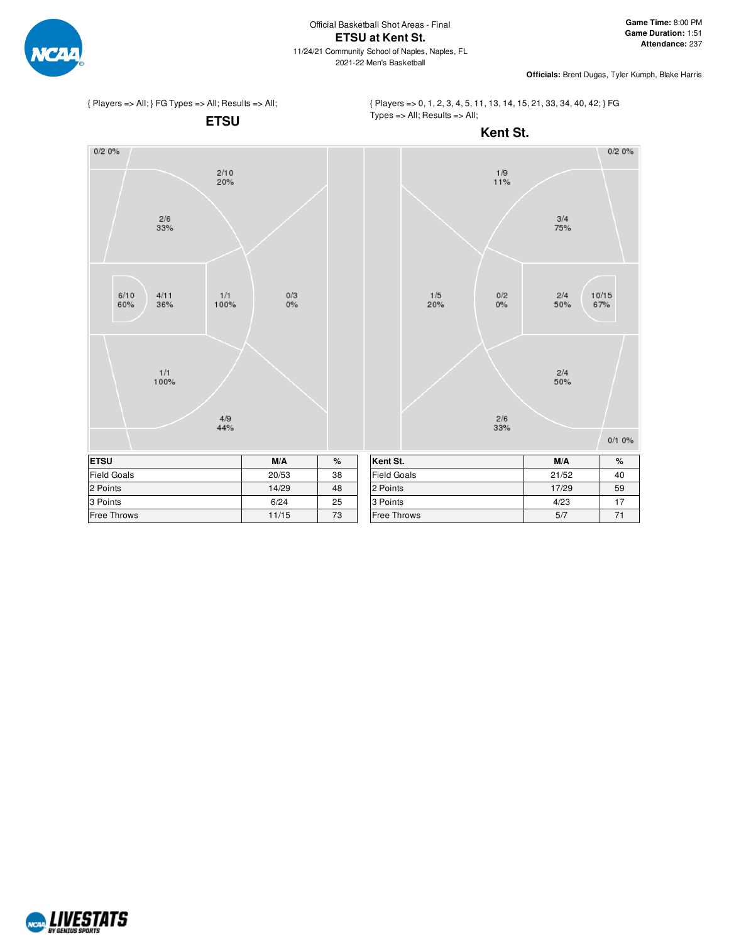



{ Players => 0, 1, 2, 3, 4, 5, 11, 13, 14, 15, 21, 33, 34, 40, 42; } FG Types => All; Results => All;



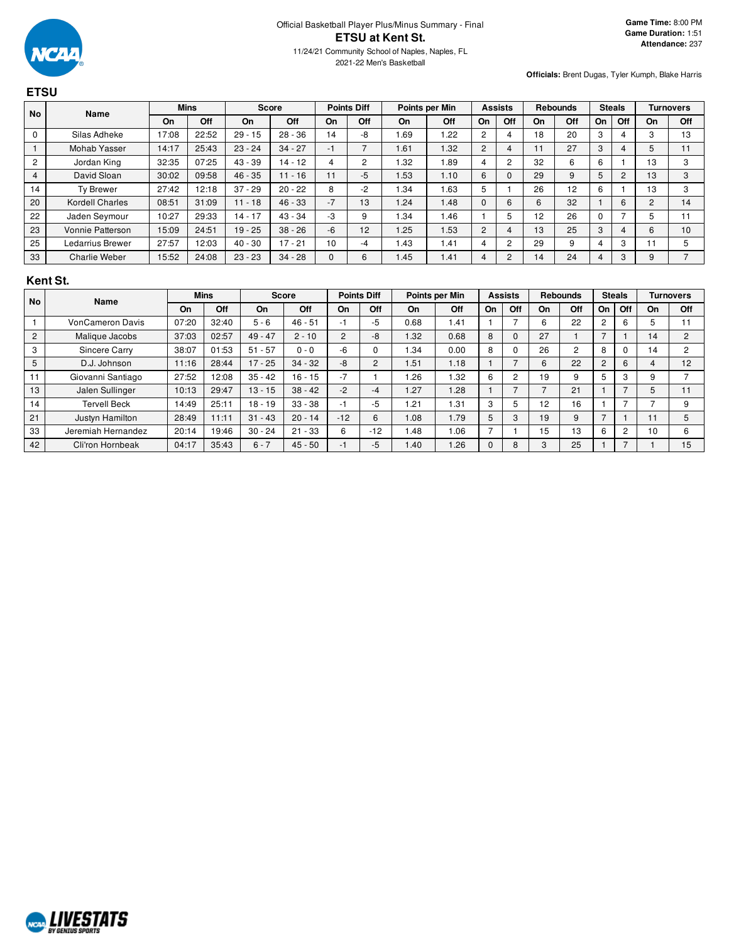

| <b>ETSU</b>    |                         |             |       |              |           |                    |                          |                |      |                |                |                 |     |               |     |                  |                |
|----------------|-------------------------|-------------|-------|--------------|-----------|--------------------|--------------------------|----------------|------|----------------|----------------|-----------------|-----|---------------|-----|------------------|----------------|
| <b>No</b>      | Name                    | <b>Mins</b> |       | <b>Score</b> |           | <b>Points Diff</b> |                          | Points per Min |      | <b>Assists</b> |                | <b>Rebounds</b> |     | <b>Steals</b> |     | <b>Turnovers</b> |                |
|                |                         | On          | Off   | On           | Off       | On                 | Off                      | On             | Off  | On             | Off            | On              | Off | On            | Off | On               | Off            |
| $\mathbf 0$    | Silas Adheke            | 17:08       | 22:52 | $29 - 15$    | $28 - 36$ | 14                 | -8                       | 1.69           | 1.22 | 2              | 4              | 18              | 20  | 3             |     | 3                | 13             |
|                | Mohab Yasser            | 14:17       | 25:43 | $23 - 24$    | $34 - 27$ | $-1$               | $\overline{\phantom{0}}$ | 1.61           | 1.32 | 2              | 4              | 11              | 27  | 3             |     | 5                | 11             |
| $\overline{2}$ | Jordan King             | 32:35       | 07:25 | $43 - 39$    | $14 - 12$ | 4                  | 2                        | 1.32           | 1.89 | 4              | $\overline{c}$ | 32              | 6   | 6             |     | 13               | 3              |
| 4              | David Sloan             | 30:02       | 09:58 | $46 - 35$    | $11 - 16$ | 11                 | $-5$                     | 1.53           | 1.10 | 6              | $\Omega$       | 29              | 9   | 5             | 2   | 13               | 3              |
| 14             | Ty Brewer               | 27:42       | 12:18 | $37 - 29$    | $20 - 22$ | 8                  | $-2$                     | 1.34           | 1.63 | 5              |                | 26              | 12  | 6             |     | 13               | 3              |
| 20             | <b>Kordell Charles</b>  | 08:51       | 31:09 | $11 - 18$    | $46 - 33$ | $-7$               | 13                       | 1.24           | 1.48 | $\mathbf{0}$   | 6              | 6               | 32  |               | 6   | $\overline{c}$   | 14             |
| 22             | Jaden Seymour           | 10:27       | 29:33 | $14 - 17$    | $43 - 34$ | $-3$               | 9                        | 1.34           | 1.46 |                | 5              | 12              | 26  | $\mathbf 0$   |     | 5                | 11             |
| 23             | <b>Vonnie Patterson</b> | 15:09       | 24:51 | $19 - 25$    | $38 - 26$ | $-6$               | 12                       | 1.25           | 1.53 | 2              | 4              | 13              | 25  | 3             |     | 6                | 10             |
| 25             | Ledarrius Brewer        | 27:57       | 12:03 | $40 - 30$    | $17 - 21$ | 10                 | -4                       | 1.43           | 1.41 | 4              | 2              | 29              | 9   | 4             | 3   | $\vert$ 1        | 5              |
| 33             | <b>Charlie Weber</b>    | 15:52       | 24:08 | $23 - 23$    | $34 - 28$ | $\Omega$           | 6                        | 1.45           | 1.41 | 4              | $\overline{2}$ | 14              | 24  | 4             | 3   | 9                | $\overline{ }$ |

### **Kent St.**

| <b>No</b>      | Name                    |       | <b>Mins</b> | <b>Score</b> |           | <b>Points Diff</b> |                |      | Points per Min | <b>Assists</b> |     | <b>Rebounds</b> |     | <b>Steals</b>  |                |    | <b>Turnovers</b> |
|----------------|-------------------------|-------|-------------|--------------|-----------|--------------------|----------------|------|----------------|----------------|-----|-----------------|-----|----------------|----------------|----|------------------|
|                |                         | On    | Off         | On           | Off       | On                 | Off            | On   | Off            | On             | Off | On              | Off | On             | Off            | On | Off              |
|                | <b>VonCameron Davis</b> | 07:20 | 32:40       | $5 - 6$      | $46 - 51$ |                    | -5             | 0.68 | 1.41           |                |     | 6               | 22  | 2              | 6              |    | 11               |
| $\overline{2}$ | Malique Jacobs          | 37:03 | 02:57       | $49 - 47$    | $2 - 10$  | $\overline{2}$     | -8             | 1.32 | 0.68           | 8              | 0   | 27              |     |                |                | 14 | 2                |
| 3              | Sincere Carry           | 38:07 | 01:53       | $51 - 57$    | $0 - 0$   | -6                 |                | .34  | 0.00           | 8              | 0   | 26              | 2   | 8              |                | 14 | $\overline{2}$   |
| 5              | D.J. Johnson            | 11:16 | 28:44       | $17 - 25$    | $34 - 32$ | -8                 | $\overline{c}$ | 1.51 | 1.18           |                | -   | 6               | 22  | $\overline{2}$ | 6              | 4  | 12               |
| 11             | Giovanni Santiago       | 27:52 | 12:08       | $35 - 42$    | $16 - 15$ | $-7$               |                | .26  | .32            | 6              | 2   | 19              | 9   | 5              | 3              | 9  |                  |
| 13             | Jalen Sullinger         | 10:13 | 29:47       | $13 - 15$    | $38 - 42$ | $-2$               | $-4$           | 1.27 | 1.28           |                | -   | -               | 21  |                |                | 5  | 11               |
| 14             | <b>Tervell Beck</b>     | 14:49 | 25:11       | $18 - 19$    | $33 - 38$ | - 1                | $-5$           | .21  | 1.31           | 3              | 5   | 12              | 16  |                |                |    | 9                |
| 21             | Justyn Hamilton         | 28:49 | 11:11       | $31 - 43$    | $20 - 14$ | $-12$              | 6              | 1.08 | 1.79           | 5              | 3   | 19              | 9   |                |                |    | 5                |
| 33             | Jeremiah Hernandez      | 20:14 | 19:46       | $30 - 24$    | $21 - 33$ | 6                  | $-12$          | .48  | 1.06           |                |     | 15              | 13  | 6              | $\overline{2}$ | 10 | 6                |
| 42             | Cli'ron Hornbeak        | 04:17 | 35:43       | $6 - 7$      | $45 - 50$ |                    | -5             | .40  | 1.26           | $\Omega$       | 8   | 3               | 25  |                |                |    | 15               |

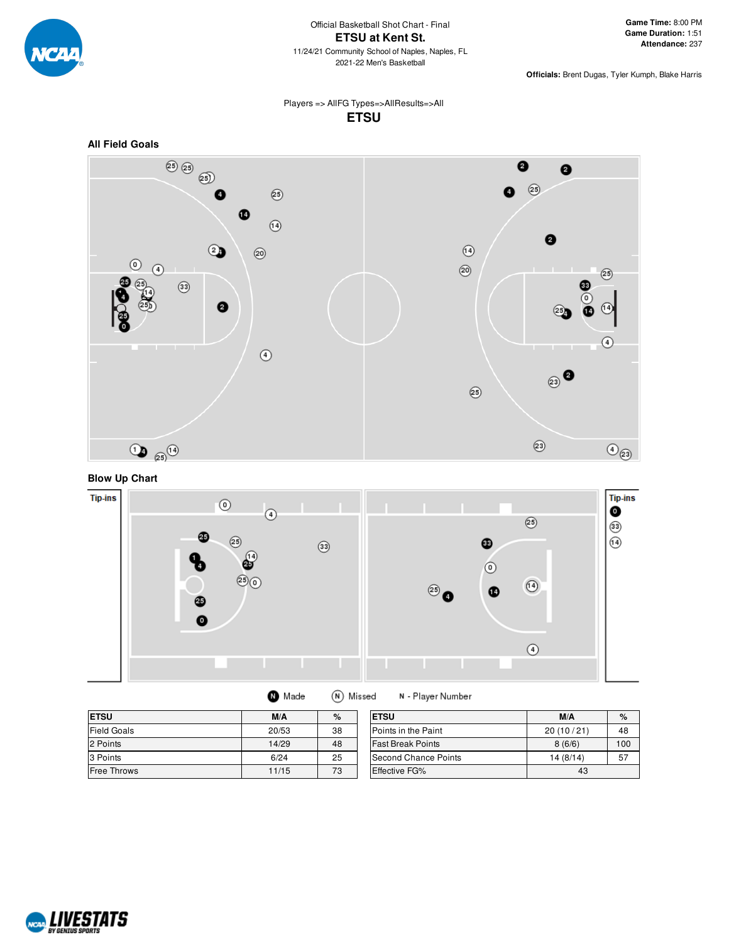

### Players => AllFG Types=>AllResults=>All **ETSU**



# **Blow Up Chart**



| <b>O</b> Made | (N) Missed |
|---------------|------------|
|---------------|------------|

N - Player Number

| <b>ETSU</b>        | M/A   | $\%$ | <b>ETSU</b>                 | M/A       | $\%$ |
|--------------------|-------|------|-----------------------------|-----------|------|
| <b>Field Goals</b> | 20/53 | 38   | <b>IPoints in the Paint</b> | 20(10/21) | 48   |
| 2 Points           | 14/29 | 48   | <b>Fast Break Points</b>    | 8(6/6)    | 100  |
| 3 Points           | 6/24  | 25   | Second Chance Points        | 14(8/14)  | 57   |
| <b>Free Throws</b> | 11/15 | 73   | Effective FG%               | 43        |      |

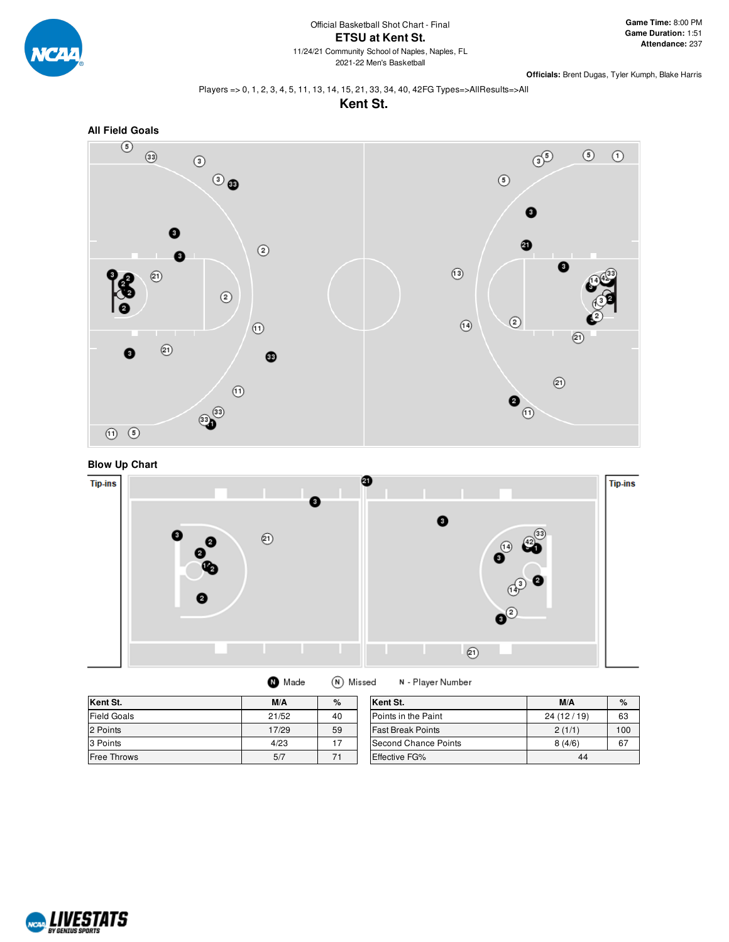

#### Players => 0, 1, 2, 3, 4, 5, 11, 13, 14, 15, 21, 33, 34, 40, 42FG Types=>AllResults=>All





### **Blow Up Chart**



| (N) Missed<br>N - Player N<br>Made |  |
|------------------------------------|--|
|------------------------------------|--|

| Kent St.           | M/A   | %  | Kent St.                 | M/A       | %   |
|--------------------|-------|----|--------------------------|-----------|-----|
| <b>Field Goals</b> | 21/52 | 40 | Points in the Paint      | 24(12/19) | 63  |
| 2 Points           | 17/29 | 59 | <b>Fast Break Points</b> | 2(1/1)    | 100 |
| 3 Points           | 4/23  | 17 | Second Chance Points     | 8(4/6)    | 67  |
| <b>Free Throws</b> | 5/7   |    | <b>Effective FG%</b>     | 44        |     |

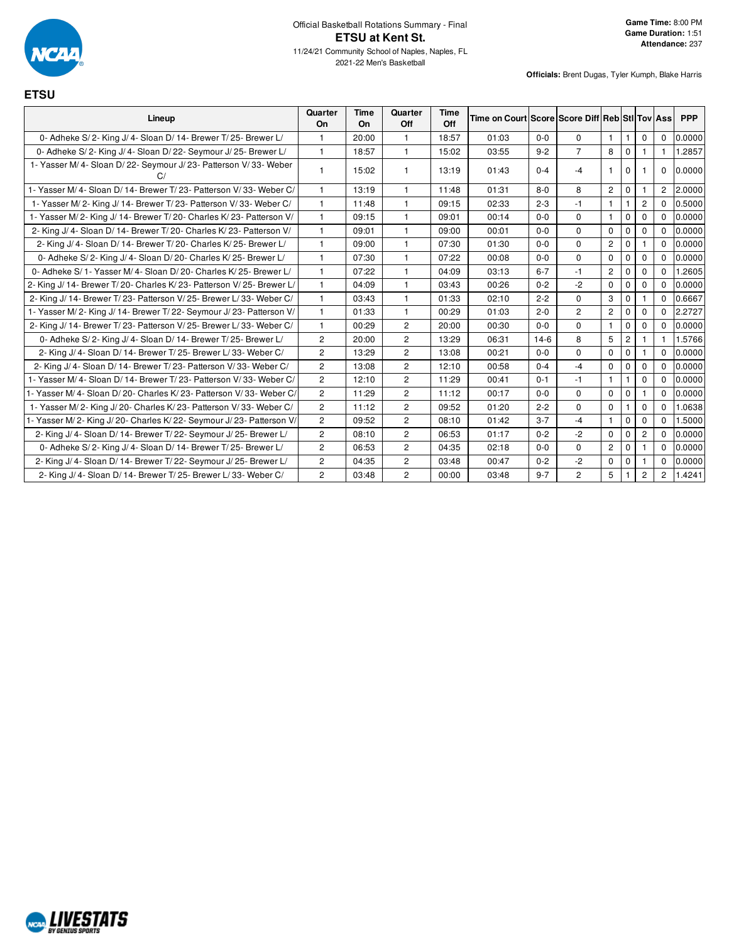

**ETSU**

| Lineup                                                                 | Quarter<br>On  | <b>Time</b><br>On | Quarter<br>Off | <b>Time</b><br>Off | Time on Court Score Score Diff Reb StI Tov Ass |         |                       |                       |                |                |                       | <b>PPP</b> |
|------------------------------------------------------------------------|----------------|-------------------|----------------|--------------------|------------------------------------------------|---------|-----------------------|-----------------------|----------------|----------------|-----------------------|------------|
| 0- Adheke S/2- King J/4- Sloan D/14- Brewer T/25- Brewer L/            | $\mathbf{1}$   | 20:00             | $\mathbf{1}$   | 18:57              | 01:03                                          | $0-0$   | $\mathbf 0$           | $\mathbf{1}$          | $\mathbf{1}$   | $\mathbf{0}$   | $\mathbf 0$           | 0.0000     |
| 0- Adheke S/2- King J/4- Sloan D/22- Seymour J/25- Brewer L/           | $\mathbf{1}$   | 18:57             | $\mathbf{1}$   | 15:02              | 03:55                                          | $9 - 2$ | $\overline{7}$        | 8                     | 0              | $\mathbf{1}$   | 1.                    | 1.2857     |
| 1- Yasser M/4- Sloan D/22- Seymour J/23- Patterson V/33- Weber<br>C/   | $\mathbf{1}$   | 15:02             |                | 13:19              | 01:43                                          | $0 - 4$ | $-4$                  | $\mathbf{1}$          | $\mathbf 0$    |                | 0                     | 0.0000     |
| 1- Yasser M/4- Sloan D/14- Brewer T/23- Patterson V/33- Weber C/       | $\mathbf{1}$   | 13:19             |                | 11:48              | 01:31                                          | $8 - 0$ | 8                     | $\mathbf{2}^{\prime}$ | $\mathbf 0$    |                | $\overline{2}$        | 2.0000     |
| 1- Yasser M/2- King J/14- Brewer T/23- Patterson V/33- Weber C/        | $\mathbf{1}$   | 11:48             | $\overline{1}$ | 09:15              | 02:33                                          | $2 - 3$ | $-1$                  | $\mathbf{1}$          | $\mathbf{1}$   | $\overline{2}$ | $\Omega$              | 0.5000     |
| 1- Yasser M/2- King J/14- Brewer T/20- Charles K/23- Patterson V/      | $\mathbf{1}$   | 09:15             | $\mathbf{1}$   | 09:01              | 00:14                                          | $0 - 0$ | $\Omega$              | $\mathbf{1}$          | $\mathbf 0$    | $\mathbf{0}$   | 0                     | 0.0000     |
| 2- King J/ 4- Sloan D/ 14- Brewer T/ 20- Charles K/ 23- Patterson V/   | $\overline{1}$ | 09:01             | $\mathbf{1}$   | 09:00              | 00:01                                          | $0 - 0$ | $\Omega$              | $\Omega$              | $\mathbf 0$    | $\mathbf{0}$   | $\Omega$              | 0.0000     |
| 2- King J/ 4- Sloan D/ 14- Brewer T/ 20- Charles K/ 25- Brewer L/      | $\mathbf{1}$   | 09:00             |                | 07:30              | 01:30                                          | $0-0$   | $\Omega$              | $\overline{c}$        | $\mathbf 0$    |                | $\Omega$              | 0.0000     |
| 0- Adheke S/2- King J/4- Sloan D/20- Charles K/25- Brewer L/           | $\mathbf{1}$   | 07:30             | $\mathbf{1}$   | 07:22              | 00:08                                          | $0 - 0$ | $\mathbf 0$           | $\mathbf 0$           | 0              | 0              | 0                     | 0.0000     |
| 0- Adheke S/ 1 - Yasser M/ 4 - Sloan D/ 20 - Charles K/ 25 - Brewer L/ | $\mathbf{1}$   | 07:22             |                | 04:09              | 03:13                                          | $6 - 7$ | $-1$                  | $\overline{c}$        | $\pmb{0}$      | $\mathbf{0}$   | $\Omega$              | 1.2605     |
| 2- King J/ 14- Brewer T/ 20- Charles K/ 23- Patterson V/ 25- Brewer L/ | $\mathbf{1}$   | 04:09             | $\mathbf{1}$   | 03:43              | 00:26                                          | $0 - 2$ | $-2$                  | $\mathbf 0$           | $\mathbf 0$    | $\mathbf 0$    | $\Omega$              | 0.0000     |
| 2- King J/ 14- Brewer T/ 23- Patterson V/ 25- Brewer L/ 33- Weber C/   | $\mathbf{1}$   | 03:43             | $\mathbf{1}$   | 01:33              | 02:10                                          | $2 - 2$ | $\mathbf 0$           | 3                     | 0              |                | 0                     | 0.6667     |
| 1- Yasser M/2- King J/14- Brewer T/22- Seymour J/23- Patterson V/      | $\mathbf{1}$   | 01:33             | $\mathbf{1}$   | 00:29              | 01:03                                          | $2 - 0$ | $\mathbf{2}^{\prime}$ | $\mathbf{2}^{\prime}$ | $\mathbf 0$    | $\mathbf{0}$   | $\Omega$              | 2.2727     |
| 2- King J/ 14- Brewer T/ 23- Patterson V/ 25- Brewer L/ 33- Weber C/   | $\mathbf{1}$   | 00:29             | $\overline{2}$ | 20:00              | 00:30                                          | $0 - 0$ | $\Omega$              | $\mathbf{1}$          | $\mathbf 0$    | $\Omega$       | $\Omega$              | 0.0000     |
| 0- Adheke S/2- King J/4- Sloan D/14- Brewer T/25- Brewer L/            | $\mathbf{2}$   | 20:00             | 2              | 13:29              | 06:31                                          | $14-6$  | 8                     | 5                     | $\overline{c}$ | 1              |                       | 1.5766     |
| 2- King J/ 4- Sloan D/ 14- Brewer T/ 25- Brewer L/ 33- Weber C/        | $\overline{2}$ | 13:29             | $\overline{c}$ | 13:08              | 00:21                                          | $0-0$   | $\Omega$              | $\mathbf 0$           | $\mathbf 0$    |                | $\Omega$              | 0.0000     |
| 2- King J/ 4- Sloan D/ 14- Brewer T/ 23- Patterson V/ 33- Weber C/     | $\overline{2}$ | 13:08             | $\overline{c}$ | 12:10              | 00:58                                          | $0 - 4$ | $-4$                  | $\mathbf 0$           | $\mathbf 0$    | $\mathbf 0$    | 0                     | 0.0000     |
| 1- Yasser M/ 4- Sloan D/ 14- Brewer T/ 23- Patterson V/ 33- Weber C/   | $\mathbf{2}$   | 12:10             | $\overline{c}$ | 11:29              | 00:41                                          | $0 - 1$ | $-1$                  | $\mathbf{1}$          | 1              | 0              | 0                     | 0.0000     |
| 1- Yasser M/ 4- Sloan D/ 20- Charles K/ 23- Patterson V/ 33- Weber C/  | $\overline{2}$ | 11:29             | $\overline{2}$ | 11:12              | 00:17                                          | $0-0$   | $\Omega$              | $\mathbf 0$           | $\mathbf 0$    |                | $\Omega$              | 0.0000     |
| 1- Yasser M/2- King J/20- Charles K/23- Patterson V/33- Weber C/       | $\overline{2}$ | 11:12             | $\overline{2}$ | 09:52              | 01:20                                          | $2 - 2$ | $\Omega$              | $\mathbf 0$           | $\mathbf{1}$   | $\mathbf 0$    | $\Omega$              | 1.0638     |
| 1- Yasser M/2- King J/20- Charles K/22- Seymour J/23- Patterson V/     | $\mathbf{2}$   | 09:52             | 2              | 08:10              | 01:42                                          | $3 - 7$ | $-4$                  | $\mathbf{1}$          | 0              | 0              | 0                     | 1.5000     |
| 2- King J/ 4- Sloan D/ 14- Brewer T/ 22- Seymour J/ 25- Brewer L/      | $\overline{2}$ | 08:10             | $\overline{2}$ | 06:53              | 01:17                                          | $0 - 2$ | $-2$                  | $\mathbf 0$           | $\mathbf 0$    | $\mathbf{2}$   | $\Omega$              | 0.0000     |
| 0- Adheke S/2- King J/4- Sloan D/14- Brewer T/25- Brewer L/            | $\overline{2}$ | 06:53             | $\overline{2}$ | 04:35              | 02:18                                          | $0-0$   | $\mathbf 0$           | $\overline{2}$        | $\mathbf 0$    |                | 0                     | 0.0000     |
| 2- King J/ 4- Sloan D/ 14- Brewer T/ 22- Seymour J/ 25- Brewer L/      | $\mathbf{2}$   | 04:35             | $\overline{c}$ | 03:48              | 00:47                                          | $0 - 2$ | $-2$                  | 0                     | $\mathbf 0$    |                | 0                     | 0.0000     |
| 2- King J/ 4- Sloan D/ 14- Brewer T/ 25- Brewer L/ 33- Weber C/        | $\overline{2}$ | 03:48             | $\overline{2}$ | 00:00              | 03:48                                          | $9 - 7$ | $\overline{2}$        | 5                     |                | $\mathbf{2}$   | $\mathbf{2}^{\prime}$ | 1.4241     |

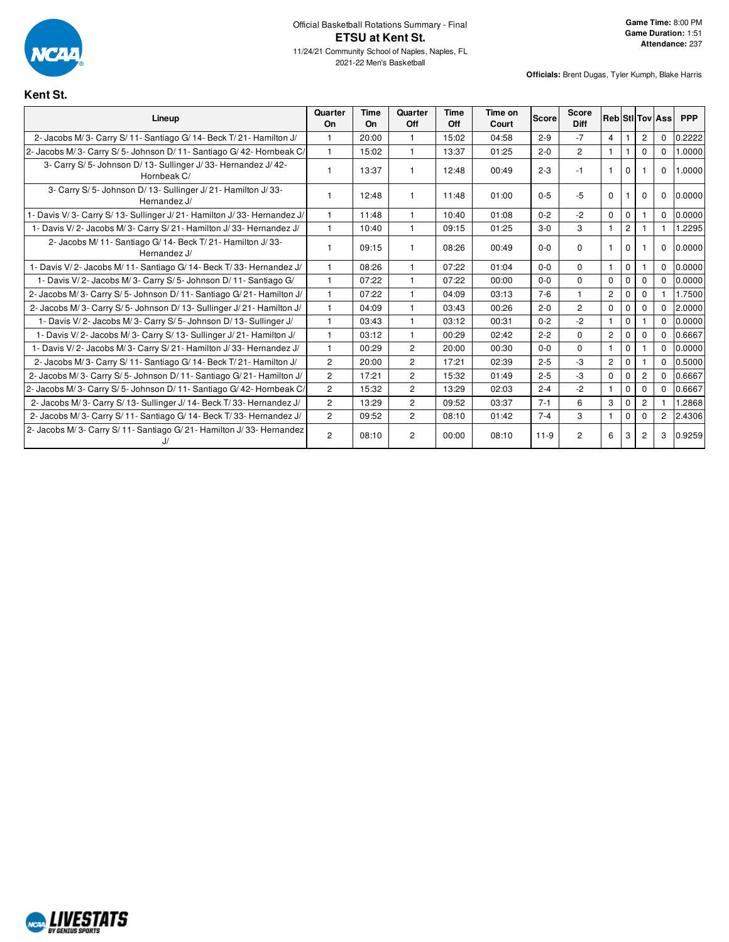

**Kent St.**

| Lineup                                                                       | Quarter<br>On  | <b>Time</b><br>On | Quarter<br>Off | Time<br>Off | Time on<br>Court | <b>Score</b> | <b>Score</b><br>Diff |                |             |                | <b>Reb</b> StilTov Ass | <b>PPP</b> |
|------------------------------------------------------------------------------|----------------|-------------------|----------------|-------------|------------------|--------------|----------------------|----------------|-------------|----------------|------------------------|------------|
| 2- Jacobs M/3- Carry S/11- Santiago G/14- Beck T/21- Hamilton J/             |                | 20:00             |                | 15:02       | 04:58            | $2 - 9$      | $-7$                 | $\overline{4}$ |             | $\overline{c}$ | $\mathbf 0$            | 0.2222     |
| 2- Jacobs M/3- Carry S/5- Johnson D/11- Santiago G/42- Hornbeak C/           | $\overline{1}$ | 15:02             | $\mathbf 1$    | 13:37       | 01:25            | $2 - 0$      | $\overline{2}$       | $\mathbf{1}$   |             | $\Omega$       | $\Omega$               | 1.0000     |
| 3- Carry S/5- Johnson D/13- Sullinger J/33- Hernandez J/42-<br>Hornbeak C/   |                | 13:37             |                | 12:48       | 00:49            | $2 - 3$      | $-1$                 |                | $\Omega$    |                | $\Omega$               | 1.0000     |
| 3- Carry S/5- Johnson D/13- Sullinger J/21- Hamilton J/33-<br>Hernandez J/   |                | 12:48             | -1             | 11:48       | 01:00            | $0 - 5$      | $-5$                 | $\Omega$       |             | $\Omega$       | $\mathbf 0$            | 0.0000     |
| 1- Davis V/3- Carry S/13- Sullinger J/21- Hamilton J/33- Hernandez J/        | $\mathbf{1}$   | 11:48             | $\overline{1}$ | 10:40       | 01:08            | $0 - 2$      | $-2$                 | $\Omega$       | $\mathbf 0$ |                | $\Omega$               | 0.0000     |
| 1- Davis V/2- Jacobs M/3- Carry S/21- Hamilton J/33- Hernandez J/            | $\mathbf{1}$   | 10:40             | $\mathbf{1}$   | 09:15       | 01:25            | $3-0$        | 3                    | $\mathbf{1}$   | 2           |                |                        | 1.2295     |
| 2- Jacobs M/ 11- Santiago G/ 14- Beck T/ 21- Hamilton J/ 33-<br>Hernandez J/ |                | 09:15             |                | 08:26       | 00:49            | $0 - 0$      | $\mathbf 0$          | $\mathbf{1}$   | $\mathbf 0$ |                | $\mathbf 0$            | 0.0000     |
| 1- Davis V/2- Jacobs M/11- Santiago G/14- Beck T/33- Hernandez J/            |                | 08:26             | $\mathbf{1}$   | 07:22       | 01:04            | $0 - 0$      | $\Omega$             | $\mathbf{1}$   | $\mathbf 0$ |                | $\Omega$               | 0.0000     |
| 1- Davis V/2- Jacobs M/3- Carry S/5- Johnson D/11- Santiago G/               |                | 07:22             |                | 07:22       | 00:00            | $0 - 0$      | $\Omega$             | $\mathbf 0$    | $\Omega$    | $\mathbf 0$    | $\Omega$               | 0.0000     |
| 2- Jacobs M/3- Carry S/5- Johnson D/11- Santiago G/21- Hamilton J/           |                | 07:22             | -1             | 04:09       | 03:13            | $7 - 6$      |                      | $\mathbf{2}$   | $\Omega$    | $\Omega$       |                        | 1.7500     |
| 2- Jacobs M/3- Carry S/5- Johnson D/13- Sullinger J/21- Hamilton J/          | $\overline{1}$ | 04:09             | $\overline{1}$ | 03:43       | 00:26            | $2 - 0$      | $\overline{2}$       | $\mathbf 0$    | 0           | $\mathbf{0}$   | $\Omega$               | 2.0000     |
| 1- Davis V/2- Jacobs M/3- Carry S/5- Johnson D/13- Sullinger J/              | $\overline{1}$ | 03:43             | $\overline{1}$ | 03:12       | 00:31            | $0 - 2$      | $-2$                 | $\mathbf{1}$   | $\mathbf 0$ |                | $\Omega$               | 0.0000     |
| 1- Davis V/2- Jacobs M/3- Carry S/13- Sullinger J/21- Hamilton J/            | $\overline{1}$ | 03:12             | $\overline{1}$ | 00:29       | 02:42            | $2 - 2$      | $\Omega$             | $\overline{2}$ | $\Omega$    | $\mathbf{0}$   | $\Omega$               | 0.6667     |
| 1- Davis V/2- Jacobs M/3- Carry S/21- Hamilton J/33- Hernandez J/            | $\overline{1}$ | 00:29             | $\overline{2}$ | 20:00       | 00:30            | $0 - 0$      | $\Omega$             | $\mathbf{1}$   | $\mathbf 0$ |                | $\Omega$               | 0.0000     |
| 2- Jacobs M/3- Carry S/11- Santiago G/14- Beck T/21- Hamilton J/             | $\overline{2}$ | 20:00             | $\overline{2}$ | 17:21       | 02:39            | $2 - 5$      | $-3$                 | $\overline{2}$ | $\Omega$    |                | $\Omega$               | 0.5000     |
| 2- Jacobs M/3- Carry S/5- Johnson D/11- Santiago G/21- Hamilton J/           | $\overline{2}$ | 17:21             | $\overline{2}$ | 15:32       | 01:49            | $2 - 5$      | $-3$                 | $\Omega$       | $\Omega$    | $\overline{c}$ | $\Omega$               | 0.6667     |
| 2- Jacobs M/3- Carry S/5- Johnson D/11- Santiago G/42- Hornbeak C/           | $\overline{2}$ | 15:32             | $\overline{2}$ | 13:29       | 02:03            | $2 - 4$      | $-2$                 | $\mathbf{1}$   | 0           | $\mathbf 0$    | $\Omega$               | 0.6667     |
| 2- Jacobs M/3- Carry S/13- Sullinger J/14- Beck T/33- Hernandez J/           | $\overline{2}$ | 13:29             | $\overline{2}$ | 09:52       | 03:37            | $7 - 1$      | 6                    | 3              | $\Omega$    | $\overline{c}$ |                        | 1.2868     |
| 2- Jacobs M/3- Carry S/11- Santiago G/14- Beck T/33- Hernandez J/            | $\overline{2}$ | 09:52             | $\overline{2}$ | 08:10       | 01:42            | $7 - 4$      | 3                    | -1             | $\Omega$    | $\Omega$       | 2                      | 2.4306     |
| 2- Jacobs M/3- Carry S/11- Santiago G/21- Hamilton J/33- Hernandez           | $\overline{2}$ | 08:10             | 2              | 00:00       | 08:10            | $11-9$       | 2                    | 6              | 3           | $\overline{c}$ | 3                      | 0.9259     |

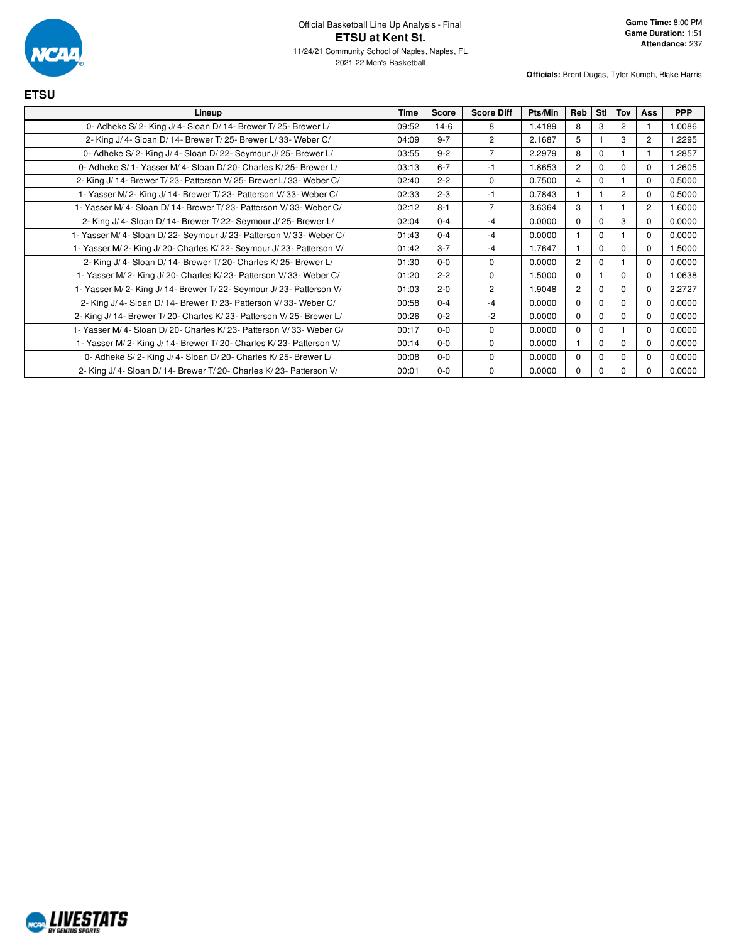

| <b>ETSU</b>                                                            |             |              |                   |         |                |          |                |                |            |
|------------------------------------------------------------------------|-------------|--------------|-------------------|---------|----------------|----------|----------------|----------------|------------|
| Lineup                                                                 | <b>Time</b> | <b>Score</b> | <b>Score Diff</b> | Pts/Min | Reb            | Stl      | Tov            | Ass            | <b>PPP</b> |
| 0- Adheke S/2- King J/4- Sloan D/14- Brewer T/25- Brewer L/            | 09:52       | $14-6$       | 8                 | 1.4189  | 8              | 3        | $\overline{2}$ |                | 1.0086     |
| 2- King J/ 4- Sloan D/ 14- Brewer T/ 25- Brewer L/ 33- Weber C/        | 04:09       | $9 - 7$      | 2                 | 2.1687  | 5              |          | 3              | $\overline{2}$ | 1.2295     |
| 0- Adheke S/2- King J/4- Sloan D/22- Seymour J/25- Brewer L/           | 03:55       | $9 - 2$      | 7                 | 2.2979  | 8              | $\Omega$ |                |                | 1.2857     |
| 0- Adheke S/1- Yasser M/4- Sloan D/20- Charles K/25- Brewer L/         | 03:13       | $6 - 7$      | $-1$              | 1.8653  | $\overline{2}$ | $\Omega$ | $\Omega$       | $\Omega$       | 1.2605     |
| 2- King J/ 14- Brewer T/ 23- Patterson V/ 25- Brewer L/ 33- Weber C/   | 02:40       | $2 - 2$      | $\Omega$          | 0.7500  | 4              | $\Omega$ |                | $\Omega$       | 0.5000     |
| 1- Yasser M/2- King J/14- Brewer T/23- Patterson V/33- Weber C/        | 02:33       | $2 - 3$      | $-1$              | 0.7843  |                |          | $\overline{2}$ | $\Omega$       | 0.5000     |
| 1- Yasser M/4- Sloan D/14- Brewer T/23- Patterson V/33- Weber C/       | 02:12       | $8 - 1$      | 7                 | 3.6364  | 3              |          |                | $\overline{2}$ | 1.6000     |
| 2- King J/ 4- Sloan D/ 14- Brewer T/ 22- Seymour J/ 25- Brewer L/      | 02:04       | $0 - 4$      | $-4$              | 0.0000  | $\Omega$       | $\Omega$ | 3              | $\Omega$       | 0.0000     |
| 1- Yasser M/4- Sloan D/22- Seymour J/23- Patterson V/33- Weber C/      | 01:43       | $0 - 4$      | $-4$              | 0.0000  |                | $\Omega$ |                | $\Omega$       | 0.0000     |
| 1- Yasser M/2- King J/20- Charles K/22- Seymour J/23- Patterson V/     | 01:42       | $3 - 7$      | $-4$              | 1.7647  |                | $\Omega$ | $\Omega$       | $\Omega$       | 1.5000     |
| 2- King J/4- Sloan D/14- Brewer T/20- Charles K/25- Brewer L/          | 01:30       | $0 - 0$      | $\mathbf 0$       | 0.0000  | $\overline{2}$ | 0        |                | $\Omega$       | 0.0000     |
| 1- Yasser M/2- King J/20- Charles K/23- Patterson V/33- Weber C/       | 01:20       | $2 - 2$      | $\Omega$          | 1.5000  | $\Omega$       |          | $\Omega$       | $\Omega$       | 1.0638     |
| 1- Yasser M/2- King J/14- Brewer T/22- Seymour J/23- Patterson V/      | 01:03       | $2 - 0$      | $\overline{2}$    | 1.9048  | $\overline{2}$ | $\Omega$ | $\Omega$       | $\Omega$       | 2.2727     |
| 2- King J/ 4- Sloan D/ 14- Brewer T/ 23- Patterson V/ 33- Weber C/     | 00:58       | $0 - 4$      | $-4$              | 0.0000  | $\Omega$       | $\Omega$ | $\Omega$       | $\Omega$       | 0.0000     |
| 2- King J/ 14- Brewer T/ 20- Charles K/ 23- Patterson V/ 25- Brewer L/ | 00:26       | $0 - 2$      | $-2$              | 0.0000  | $\Omega$       | $\Omega$ | $\Omega$       | $\Omega$       | 0.0000     |
| 1- Yasser M/4- Sloan D/20- Charles K/23- Patterson V/33- Weber C/      | 00:17       | $0 - 0$      | $\Omega$          | 0.0000  | $\Omega$       | 0        |                | $\Omega$       | 0.0000     |
| 1- Yasser M/2- King J/14- Brewer T/20- Charles K/23- Patterson V/      | 00:14       | $0-0$        | $\Omega$          | 0.0000  |                | $\Omega$ | $\Omega$       | $\Omega$       | 0.0000     |
| 0- Adheke S/2- King J/4- Sloan D/20- Charles K/25- Brewer L/           | 00:08       | $0 - 0$      | $\Omega$          | 0.0000  | $\Omega$       | $\Omega$ | $\Omega$       | $\Omega$       | 0.0000     |
| 2- King J/ 4- Sloan D/ 14- Brewer T/ 20- Charles K/ 23- Patterson V/   | 00:01       | $0-0$        | $\mathbf 0$       | 0.0000  | 0              | $\Omega$ | $\Omega$       | $\Omega$       | 0.0000     |